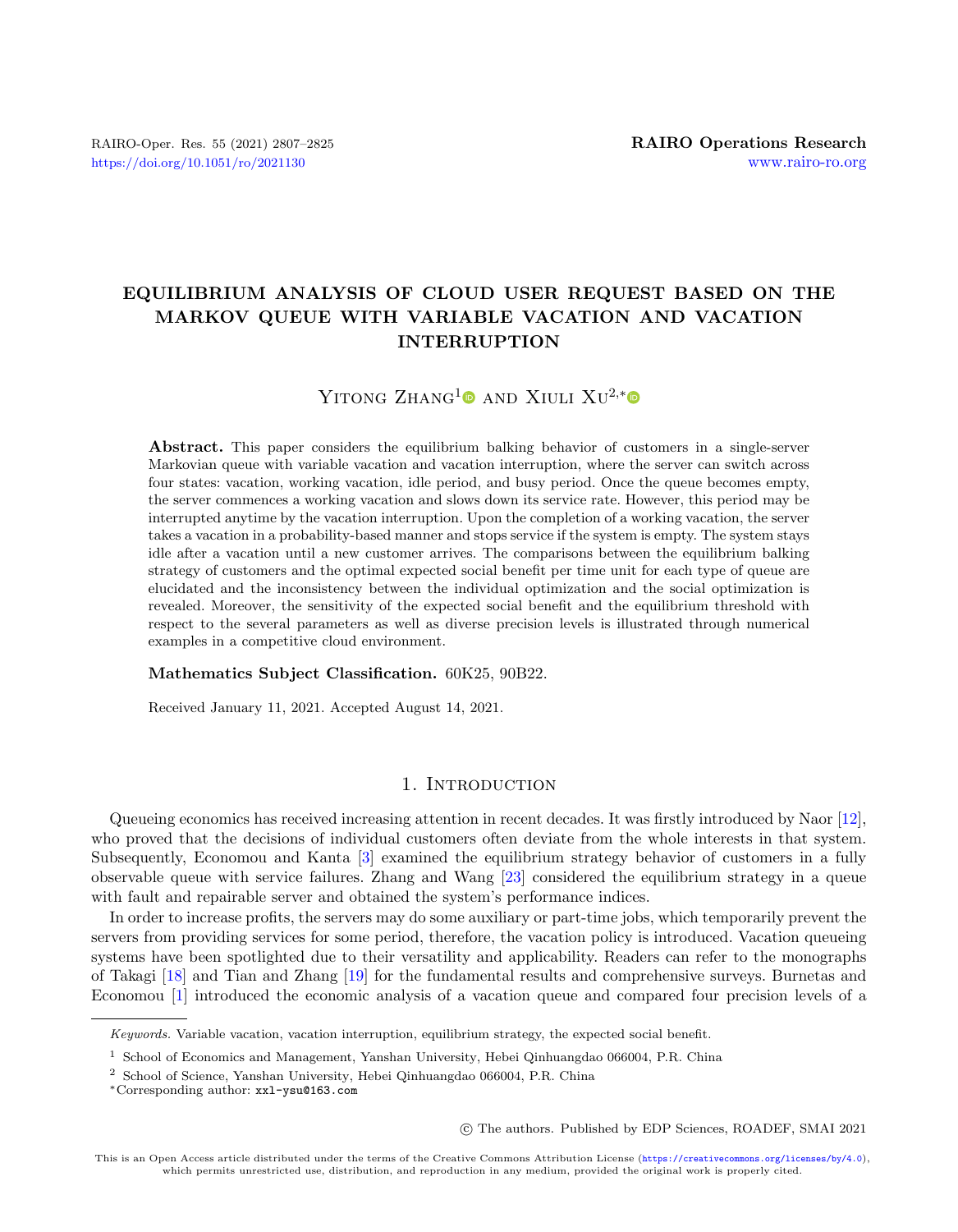# EQUILIBRIUM ANALYSIS OF CLOUD USER REQUEST BASED ON THE MARKOV QUEUE WITH VARIABLE VACATION AND VACATION INTERRUPTION

# YITONG  $ZHANG<sup>1</sup>$  $ZHANG<sup>1</sup>$  $ZHANG<sup>1</sup>$  and XIULI  $XU<sup>2,*</sup>$

Abstract. This paper considers the equilibrium balking behavior of customers in a single-server Markovian queue with variable vacation and vacation interruption, where the server can switch across four states: vacation, working vacation, idle period, and busy period. Once the queue becomes empty, the server commences a working vacation and slows down its service rate. However, this period may be interrupted anytime by the vacation interruption. Upon the completion of a working vacation, the server takes a vacation in a probability-based manner and stops service if the system is empty. The system stays idle after a vacation until a new customer arrives. The comparisons between the equilibrium balking strategy of customers and the optimal expected social benefit per time unit for each type of queue are elucidated and the inconsistency between the individual optimization and the social optimization is revealed. Moreover, the sensitivity of the expected social benefit and the equilibrium threshold with respect to the several parameters as well as diverse precision levels is illustrated through numerical examples in a competitive cloud environment.

# Mathematics Subject Classification. 60K25, 90B22.

Received January 11, 2021. Accepted August 14, 2021.

# 1. INTRODUCTION

Queueing economics has received increasing attention in recent decades. It was firstly introduced by Naor [\[12\]](#page-17-0), who proved that the decisions of individual customers often deviate from the whole interests in that system. Subsequently, Economou and Kanta [\[3\]](#page-17-1) examined the equilibrium strategy behavior of customers in a fully observable queue with service failures. Zhang and Wang [\[23\]](#page-18-0) considered the equilibrium strategy in a queue with fault and repairable server and obtained the system's performance indices.

In order to increase profits, the servers may do some auxiliary or part-time jobs, which temporarily prevent the servers from providing services for some period, therefore, the vacation policy is introduced. Vacation queueing systems have been spotlighted due to their versatility and applicability. Readers can refer to the monographs of Takagi [\[18\]](#page-17-2) and Tian and Zhang [\[19\]](#page-17-3) for the fundamental results and comprehensive surveys. Burnetas and Economou [\[1\]](#page-17-4) introduced the economic analysis of a vacation queue and compared four precision levels of a

c The authors. Published by EDP Sciences, ROADEF, SMAI 2021

Keywords. Variable vacation, vacation interruption, equilibrium strategy, the expected social benefit.

 $^{\rm 1}$  School of Economics and Management, Yanshan University, Hebei Qinhuangdao 066004, P.R. China

<sup>2</sup> School of Science, Yanshan University, Hebei Qinhuangdao 066004, P.R. China

<sup>∗</sup>Corresponding author: [xxl-ysu@163.com](mailto:xxl-ysu@163.com)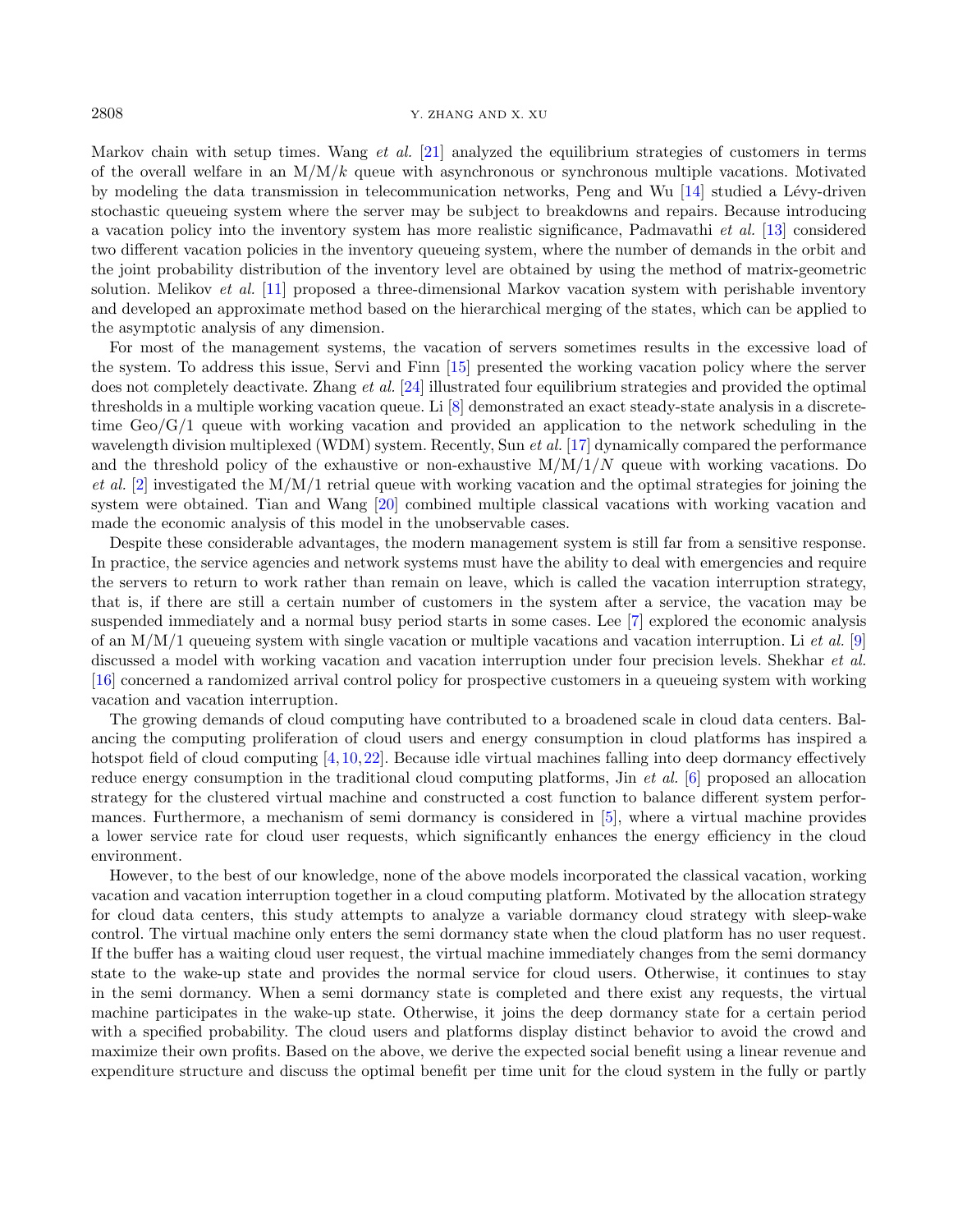## 2808 Y. ZHANG AND X. XU

Markov chain with setup times. Wang et al. [\[21\]](#page-17-5) analyzed the equilibrium strategies of customers in terms of the overall welfare in an  $M/M/k$  queue with asynchronous or synchronous multiple vacations. Motivated by modeling the data transmission in telecommunication networks, Peng and Wu  $[14]$  studied a Lévy-driven stochastic queueing system where the server may be subject to breakdowns and repairs. Because introducing a vacation policy into the inventory system has more realistic significance, Padmavathi et al. [\[13\]](#page-17-7) considered two different vacation policies in the inventory queueing system, where the number of demands in the orbit and the joint probability distribution of the inventory level are obtained by using the method of matrix-geometric solution. Melikov et al. [\[11\]](#page-17-8) proposed a three-dimensional Markov vacation system with perishable inventory and developed an approximate method based on the hierarchical merging of the states, which can be applied to the asymptotic analysis of any dimension.

For most of the management systems, the vacation of servers sometimes results in the excessive load of the system. To address this issue, Servi and Finn [\[15\]](#page-17-9) presented the working vacation policy where the server does not completely deactivate. Zhang et al. [\[24\]](#page-18-1) illustrated four equilibrium strategies and provided the optimal thresholds in a multiple working vacation queue. Li [\[8\]](#page-17-10) demonstrated an exact steady-state analysis in a discretetime  $Geo/G/1$  queue with working vacation and provided an application to the network scheduling in the wavelength division multiplexed (WDM) system. Recently, Sun *et al.* [\[17\]](#page-17-11) dynamically compared the performance and the threshold policy of the exhaustive or non-exhaustive  $M/M/1/N$  queue with working vacations. Do et al. [\[2\]](#page-17-12) investigated the  $M/M/1$  retrial queue with working vacation and the optimal strategies for joining the system were obtained. Tian and Wang [\[20\]](#page-17-13) combined multiple classical vacations with working vacation and made the economic analysis of this model in the unobservable cases.

Despite these considerable advantages, the modern management system is still far from a sensitive response. In practice, the service agencies and network systems must have the ability to deal with emergencies and require the servers to return to work rather than remain on leave, which is called the vacation interruption strategy, that is, if there are still a certain number of customers in the system after a service, the vacation may be suspended immediately and a normal busy period starts in some cases. Lee [\[7\]](#page-17-14) explored the economic analysis of an  $M/M/1$  queueing system with single vacation or multiple vacations and vacation interruption. Li et al. [\[9\]](#page-17-15) discussed a model with working vacation and vacation interruption under four precision levels. Shekhar *et al.* [\[16\]](#page-17-16) concerned a randomized arrival control policy for prospective customers in a queueing system with working vacation and vacation interruption.

The growing demands of cloud computing have contributed to a broadened scale in cloud data centers. Balancing the computing proliferation of cloud users and energy consumption in cloud platforms has inspired a hotspot field of cloud computing  $[4,10,22]$  $[4,10,22]$  $[4,10,22]$ . Because idle virtual machines falling into deep dormancy effectively reduce energy consumption in the traditional cloud computing platforms, Jin et al. [\[6\]](#page-17-19) proposed an allocation strategy for the clustered virtual machine and constructed a cost function to balance different system performances. Furthermore, a mechanism of semi dormancy is considered in [\[5\]](#page-17-20), where a virtual machine provides a lower service rate for cloud user requests, which significantly enhances the energy efficiency in the cloud environment.

However, to the best of our knowledge, none of the above models incorporated the classical vacation, working vacation and vacation interruption together in a cloud computing platform. Motivated by the allocation strategy for cloud data centers, this study attempts to analyze a variable dormancy cloud strategy with sleep-wake control. The virtual machine only enters the semi dormancy state when the cloud platform has no user request. If the buffer has a waiting cloud user request, the virtual machine immediately changes from the semi dormancy state to the wake-up state and provides the normal service for cloud users. Otherwise, it continues to stay in the semi dormancy. When a semi dormancy state is completed and there exist any requests, the virtual machine participates in the wake-up state. Otherwise, it joins the deep dormancy state for a certain period with a specified probability. The cloud users and platforms display distinct behavior to avoid the crowd and maximize their own profits. Based on the above, we derive the expected social benefit using a linear revenue and expenditure structure and discuss the optimal benefit per time unit for the cloud system in the fully or partly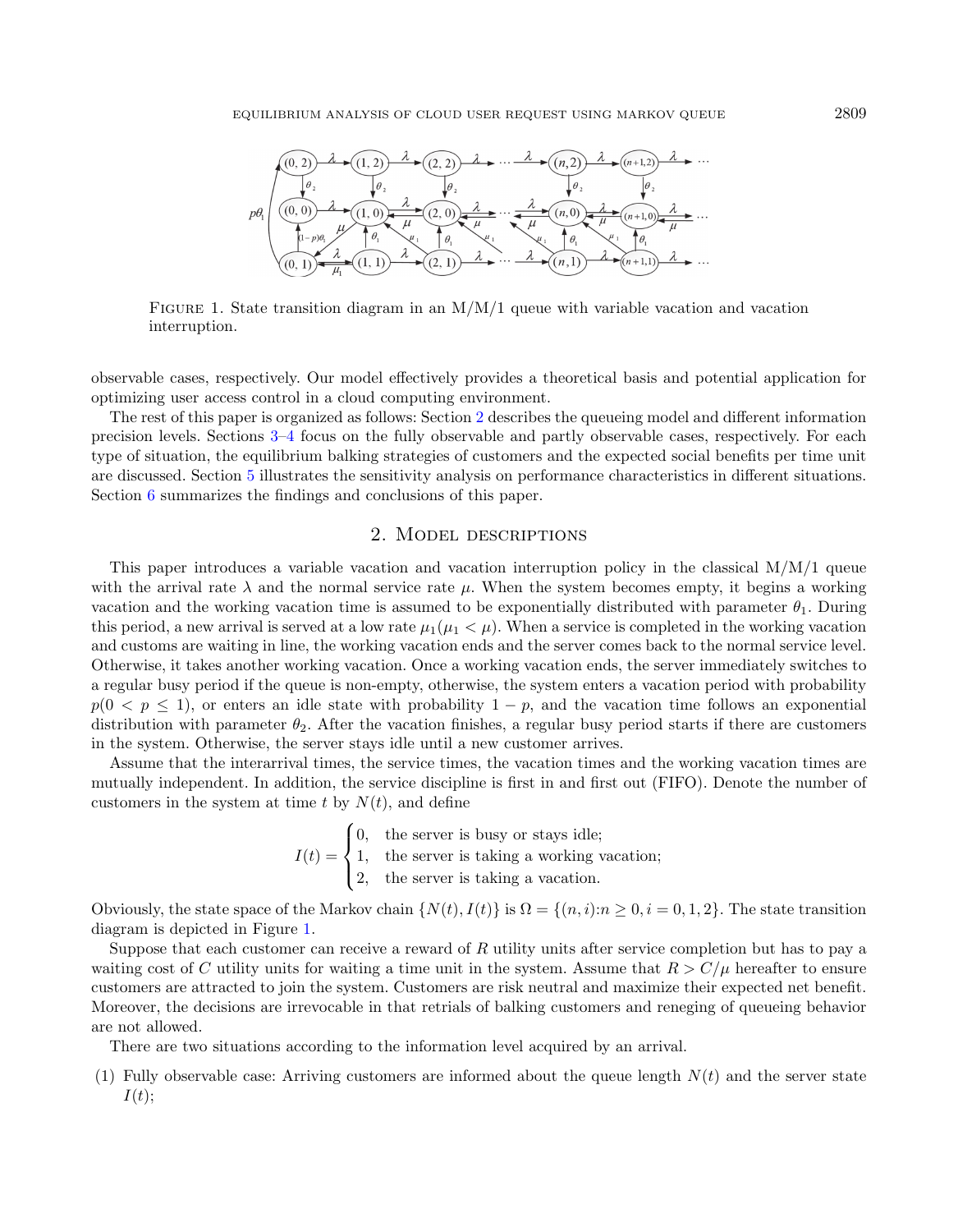<span id="page-2-1"></span>

FIGURE 1. State transition diagram in an  $M/M/1$  queue with variable vacation and vacation interruption.

observable cases, respectively. Our model effectively provides a theoretical basis and potential application for optimizing user access control in a cloud computing environment.

The rest of this paper is organized as follows: Section [2](#page-2-0) describes the queueing model and different information precision levels. Sections [3–](#page-3-0)[4](#page-9-0) focus on the fully observable and partly observable cases, respectively. For each type of situation, the equilibrium balking strategies of customers and the expected social benefits per time unit are discussed. Section [5](#page-15-0) illustrates the sensitivity analysis on performance characteristics in different situations. Section [6](#page-17-21) summarizes the findings and conclusions of this paper.

# 2. Model descriptions

<span id="page-2-0"></span>This paper introduces a variable vacation and vacation interruption policy in the classical  $M/M/1$  queue with the arrival rate  $\lambda$  and the normal service rate  $\mu$ . When the system becomes empty, it begins a working vacation and the working vacation time is assumed to be exponentially distributed with parameter  $\theta_1$ . During this period, a new arrival is served at a low rate  $\mu_1(\mu_1 < \mu)$ . When a service is completed in the working vacation and customs are waiting in line, the working vacation ends and the server comes back to the normal service level. Otherwise, it takes another working vacation. Once a working vacation ends, the server immediately switches to a regular busy period if the queue is non-empty, otherwise, the system enters a vacation period with probability  $p(0 < p \le 1)$ , or enters an idle state with probability  $1 - p$ , and the vacation time follows an exponential distribution with parameter  $\theta_2$ . After the vacation finishes, a regular busy period starts if there are customers in the system. Otherwise, the server stays idle until a new customer arrives.

Assume that the interarrival times, the service times, the vacation times and the working vacation times are mutually independent. In addition, the service discipline is first in and first out (FIFO). Denote the number of customers in the system at time t by  $N(t)$ , and define

> $I(t) =$  $\sqrt{ }$  $\int$  $\overline{\mathcal{L}}$ 0, the server is busy or stays idle; 1, the server is taking a working vacation; 2, the server is taking a vacation.

Obviously, the state space of the Markov chain  $\{N(t), I(t)\}\$ is  $\Omega = \{(n, i):n\geq 0, i = 0, 1, 2\}$ . The state transition diagram is depicted in Figure [1.](#page-2-1)

Suppose that each customer can receive a reward of R utility units after service completion but has to pay a waiting cost of C utility units for waiting a time unit in the system. Assume that  $R > C/\mu$  hereafter to ensure customers are attracted to join the system. Customers are risk neutral and maximize their expected net benefit. Moreover, the decisions are irrevocable in that retrials of balking customers and reneging of queueing behavior are not allowed.

There are two situations according to the information level acquired by an arrival.

(1) Fully observable case: Arriving customers are informed about the queue length  $N(t)$  and the server state  $I(t)$ :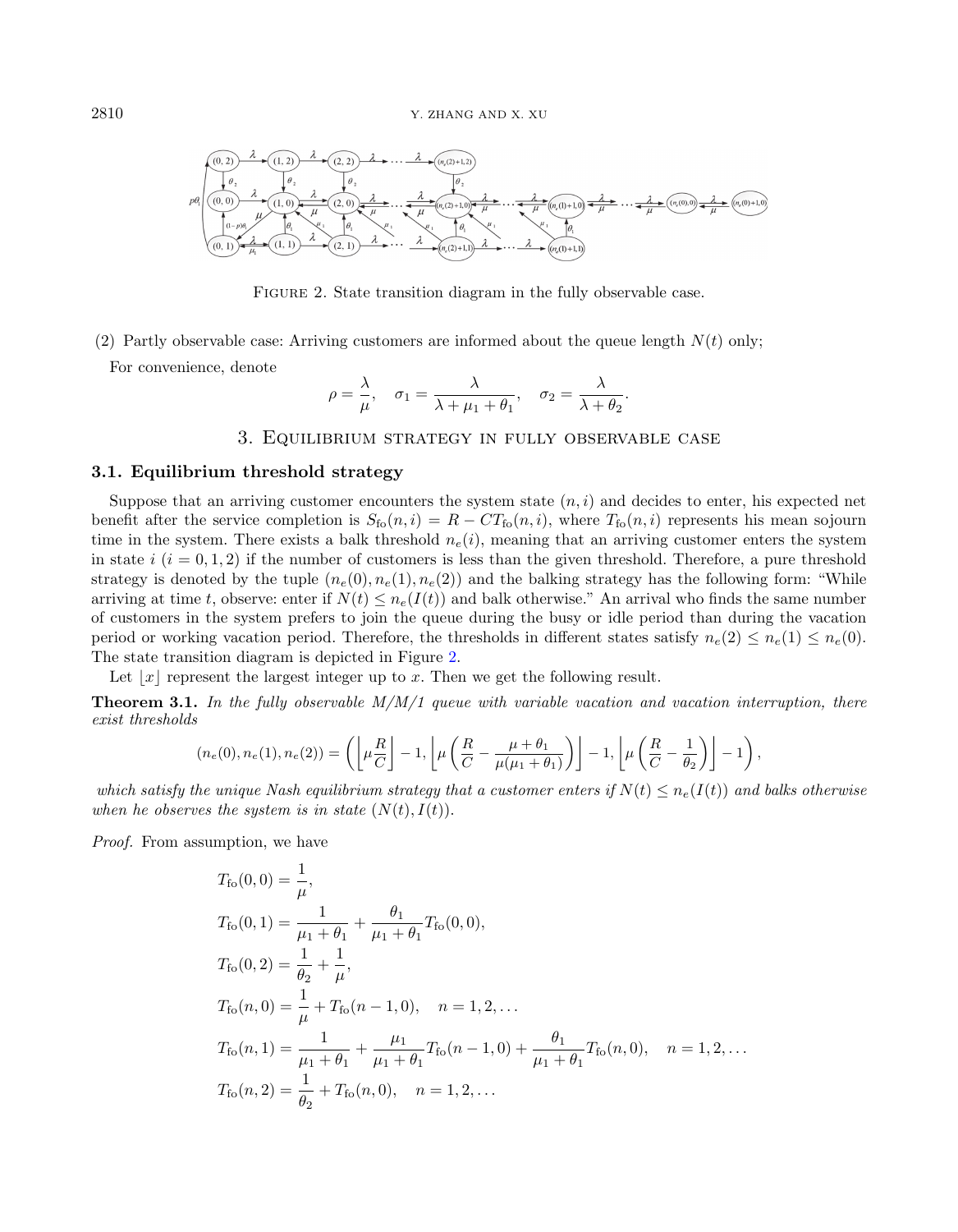<span id="page-3-1"></span>

FIGURE 2. State transition diagram in the fully observable case.

(2) Partly observable case: Arriving customers are informed about the queue length  $N(t)$  only;

For convenience, denote

<span id="page-3-2"></span>
$$
\rho = \frac{\lambda}{\mu}, \quad \sigma_1 = \frac{\lambda}{\lambda + \mu_1 + \theta_1}, \quad \sigma_2 = \frac{\lambda}{\lambda + \theta_2}.
$$

# <span id="page-3-3"></span>3. Equilibrium strategy in fully observable case

# <span id="page-3-0"></span>3.1. Equilibrium threshold strategy

Suppose that an arriving customer encounters the system state  $(n, i)$  and decides to enter, his expected net benefit after the service completion is  $S_{\text{fo}}(n, i) = R - CT_{\text{fo}}(n, i)$ , where  $T_{\text{fo}}(n, i)$  represents his mean sojourn time in the system. There exists a balk threshold  $n_e(i)$ , meaning that an arriving customer enters the system in state i  $(i = 0, 1, 2)$  if the number of customers is less than the given threshold. Therefore, a pure threshold strategy is denoted by the tuple  $(n_e(0), n_e(1), n_e(2))$  and the balking strategy has the following form: "While arriving at time t, observe: enter if  $N(t) \leq n_e(I(t))$  and balk otherwise." An arrival who finds the same number of customers in the system prefers to join the queue during the busy or idle period than during the vacation period or working vacation period. Therefore, the thresholds in different states satisfy  $n_e(2) \leq n_e(1) \leq n_e(0)$ . The state transition diagram is depicted in Figure [2.](#page-3-1)

Let  $|x|$  represent the largest integer up to x. Then we get the following result.

**Theorem 3.1.** In the fully observable  $M/M/1$  queue with variable vacation and vacation interruption, there exist thresholds

$$
(n_e(0), n_e(1), n_e(2)) = \left( \left\lfloor \mu \frac{R}{C} \right\rfloor - 1, \left\lfloor \mu \left( \frac{R}{C} - \frac{\mu + \theta_1}{\mu(\mu_1 + \theta_1)} \right) \right\rfloor - 1, \left\lfloor \mu \left( \frac{R}{C} - \frac{1}{\theta_2} \right) \right\rfloor - 1 \right),
$$

which satisfy the unique Nash equilibrium strategy that a customer enters if  $N(t) \leq n_e(I(t))$  and balks otherwise when he observes the system is in state  $(N(t), I(t))$ .

Proof. From assumption, we have

$$
T_{\text{fo}}(0,0) = \frac{1}{\mu},
$$
  
\n
$$
T_{\text{fo}}(0,1) = \frac{1}{\mu_1 + \theta_1} + \frac{\theta_1}{\mu_1 + \theta_1} T_{\text{fo}}(0,0),
$$
  
\n
$$
T_{\text{fo}}(0,2) = \frac{1}{\theta_2} + \frac{1}{\mu},
$$
  
\n
$$
T_{\text{fo}}(n,0) = \frac{1}{\mu} + T_{\text{fo}}(n-1,0), \quad n = 1, 2, ...
$$
  
\n
$$
T_{\text{fo}}(n,1) = \frac{1}{\mu_1 + \theta_1} + \frac{\mu_1}{\mu_1 + \theta_1} T_{\text{fo}}(n-1,0) + \frac{\theta_1}{\mu_1 + \theta_1} T_{\text{fo}}(n,0), \quad n = 1, 2, ...
$$
  
\n
$$
T_{\text{fo}}(n,2) = \frac{1}{\theta_2} + T_{\text{fo}}(n,0), \quad n = 1, 2, ...
$$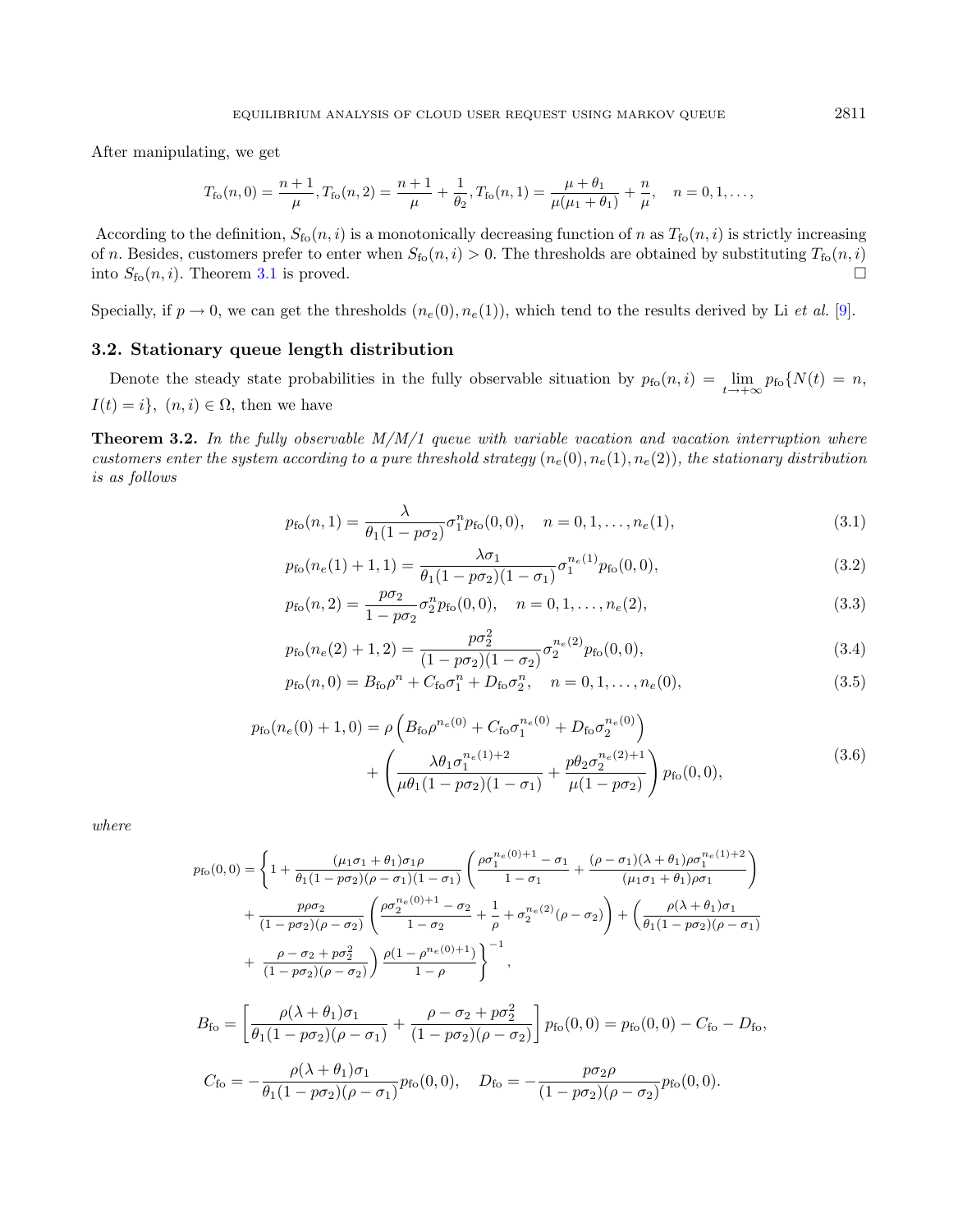After manipulating, we get

<span id="page-4-1"></span>
$$
T_{\rm fo}(n,0)=\frac{n+1}{\mu}, T_{\rm fo}(n,2)=\frac{n+1}{\mu}+\frac{1}{\theta_2}, T_{\rm fo}(n,1)=\frac{\mu+\theta_1}{\mu(\mu_1+\theta_1)}+\frac{n}{\mu}, \quad n=0,1,\ldots,
$$

According to the definition,  $S_{f_0}(n, i)$  is a monotonically decreasing function of n as  $T_{f_0}(n, i)$  is strictly increasing of n. Besides, customers prefer to enter when  $S_{f_0}(n, i) > 0$ . The thresholds are obtained by substituting  $T_{f_0}(n, i)$ into  $S_{f_0}(n, i)$ . Theorem [3.1](#page-3-2) is proved.

Specially, if  $p \to 0$ , we can get the thresholds  $(n_e(0), n_e(1))$ , which tend to the results derived by Li *et al.* [\[9\]](#page-17-15).

# 3.2. Stationary queue length distribution

Denote the steady state probabilities in the fully observable situation by  $p_{f0}(n,i) = \lim_{t \to +\infty} p_{f0}(N(t)) = n$ ,  $I(t) = i$ ,  $(n, i) \in \Omega$ , then we have

**Theorem 3.2.** In the fully observable  $M/M/1$  queue with variable vacation and vacation interruption where customers enter the system according to a pure threshold strategy  $(n_e(0), n_e(1), n_e(2))$ , the stationary distribution is as follows

$$
p_{\rm fo}(n,1) = \frac{\lambda}{\theta_1(1 - p\sigma_2)} \sigma_1^n p_{\rm fo}(0,0), \quad n = 0, 1, \dots, n_e(1), \tag{3.1}
$$

$$
p_{\rm fo}(n_e(1)+1,1) = \frac{\lambda \sigma_1}{\theta_1 (1 - p \sigma_2)(1 - \sigma_1)} \sigma_1^{n_e(1)} p_{\rm fo}(0,0),\tag{3.2}
$$

<span id="page-4-0"></span>
$$
p_{\rm fo}(n,2) = \frac{p\sigma_2}{1 - p\sigma_2} \sigma_2^n p_{\rm fo}(0,0), \quad n = 0, 1, \dots, n_e(2), \tag{3.3}
$$

$$
p_{\rm fo}(n_e(2)+1,2) = \frac{p\sigma_2^2}{(1-p\sigma_2)(1-\sigma_2)}\sigma_2^{n_e(2)}p_{\rm fo}(0,0),\tag{3.4}
$$

$$
p_{\rm fo}(n,0) = B_{\rm fo}\rho^n + C_{\rm fo}\sigma_1^n + D_{\rm fo}\sigma_2^n, \quad n = 0, 1, \dots, n_e(0),
$$
\n(3.5)

$$
p_{\rm fo}(n_e(0) + 1, 0) = \rho \left( B_{\rm fo} \rho^{n_e(0)} + C_{\rm fo} \sigma_1^{n_e(0)} + D_{\rm fo} \sigma_2^{n_e(0)} \right) + \left( \frac{\lambda \theta_1 \sigma_1^{n_e(1) + 2}}{\mu \theta_1 (1 - p \sigma_2)(1 - \sigma_1)} + \frac{p \theta_2 \sigma_2^{n_e(2) + 1}}{\mu (1 - p \sigma_2)} \right) p_{\rm fo}(0, 0), \tag{3.6}
$$

where

$$
p_{\text{fo}}(0,0) = \left\{ 1 + \frac{(\mu_1 \sigma_1 + \theta_1)\sigma_1 \rho}{\theta_1(1 - p\sigma_2)(\rho - \sigma_1)(1 - \sigma_1)} \left( \frac{\rho \sigma_1^{n_e(0) + 1} - \sigma_1}{1 - \sigma_1} + \frac{(\rho - \sigma_1)(\lambda + \theta_1)\rho \sigma_1^{n_e(1) + 2}}{(\mu_1 \sigma_1 + \theta_1)\rho \sigma_1} \right) \right\}
$$
  
+ 
$$
\frac{p\rho \sigma_2}{(1 - p\sigma_2)(\rho - \sigma_2)} \left( \frac{\rho \sigma_2^{n_e(0) + 1} - \sigma_2}{1 - \sigma_2} + \frac{1}{\rho} + \sigma_2^{n_e(2)}(\rho - \sigma_2) \right) + \left( \frac{\rho(\lambda + \theta_1)\sigma_1}{\theta_1(1 - p\sigma_2)(\rho - \sigma_1)} \right) \left. \frac{\rho(1 - \rho^{n_e(0) + 1})}{1 - \rho} \right\}^{-1},
$$
  

$$
B_{\text{fo}} = \left[ \frac{\rho(\lambda + \theta_1)\sigma_1}{\theta_1(1 - p\sigma_2)(\rho - \sigma_1)} + \frac{\rho - \sigma_2 + p\sigma_2^2}{(1 - p\sigma_2)(\rho - \sigma_2)} \right] p_{\text{fo}}(0, 0) = p_{\text{fo}}(0, 0) - C_{\text{fo}} - D_{\text{fo}},
$$
  

$$
C_{\text{fo}} = -\frac{\rho(\lambda + \theta_1)\sigma_1}{\theta_1(1 - p\sigma_2)(\rho - \sigma_1)} p_{\text{fo}}(0, 0), \quad D_{\text{fo}} = -\frac{p\sigma_2 \rho}{(1 - p\sigma_2)(\rho - \sigma_2)} p_{\text{fo}}(0, 0).
$$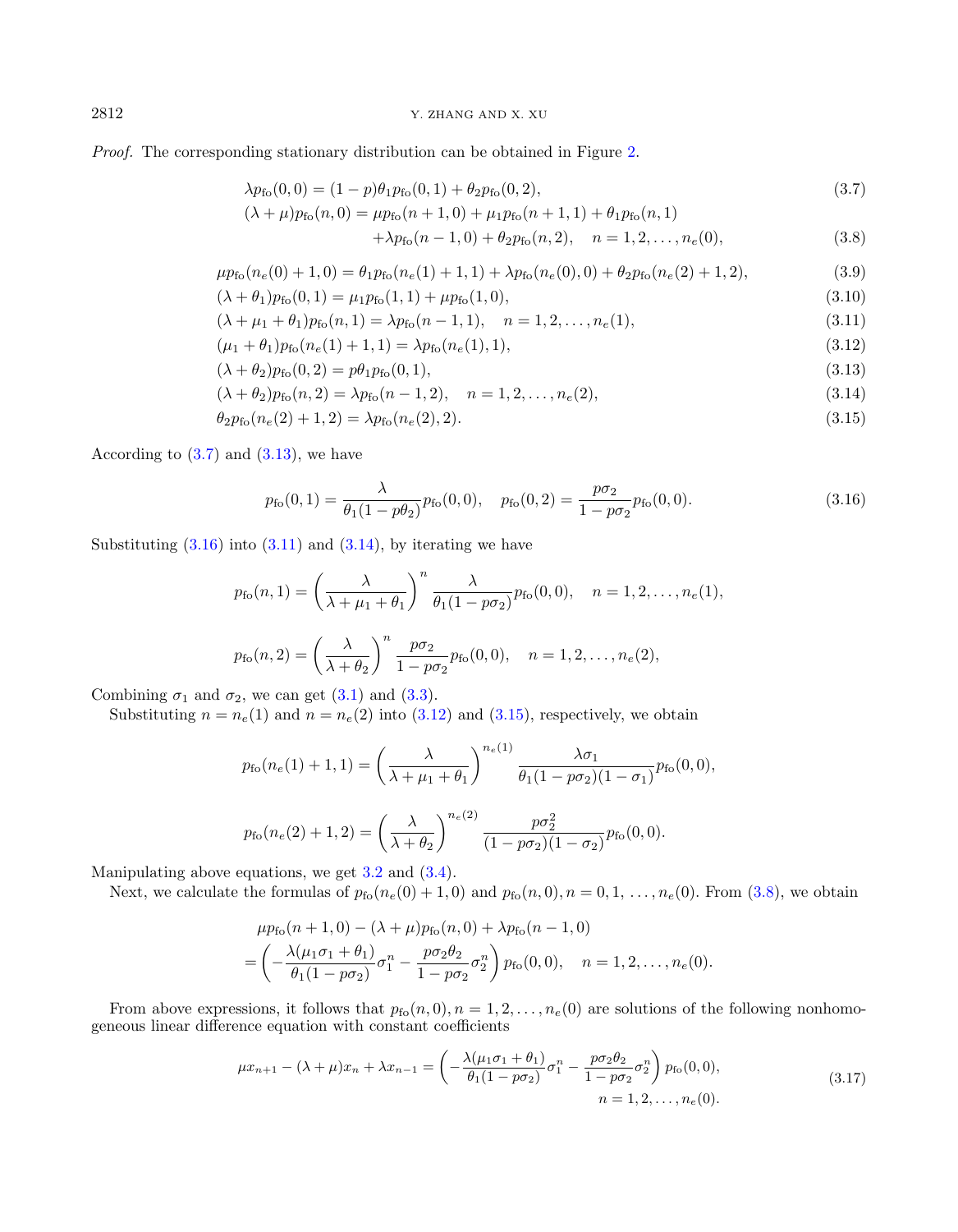# 2812 Y. ZHANG AND X. XU

Proof. The corresponding stationary distribution can be obtained in Figure [2.](#page-3-1)

$$
\lambda p_{\rm fo}(0,0) = (1-p)\theta_1 p_{\rm fo}(0,1) + \theta_2 p_{\rm fo}(0,2),\tag{3.7}
$$

<span id="page-5-2"></span><span id="page-5-1"></span>
$$
(\lambda + \mu)p_{\text{fo}}(n,0) = \mu p_{\text{fo}}(n+1,0) + \mu_1 p_{\text{fo}}(n+1,1) + \theta_1 p_{\text{fo}}(n,1) + \lambda p_{\text{fo}}(n-1,0) + \theta_2 p_{\text{fo}}(n,2), \quad n = 1,2,\dots, n_e(0),
$$
\n(3.8)

<span id="page-5-0"></span>
$$
\mu p_{\rm fo}(n_e(0) + 1, 0) = \theta_1 p_{\rm fo}(n_e(1) + 1, 1) + \lambda p_{\rm fo}(n_e(0), 0) + \theta_2 p_{\rm fo}(n_e(2) + 1, 2), \tag{3.9}
$$

$$
(\lambda + \theta_1)p_{f0}(0, 1) = \mu_1p_{f0}(1, 1) + \mu p_{f0}(1, 0),
$$
\n(3.10)

$$
(\lambda + \mu_1 + \theta_1)p_{f_0}(n, 1) = \lambda p_{f_0}(n - 1, 1), \quad n = 1, 2, \dots, n_e(1),
$$
\n(3.11)

$$
(\mu_1 + \theta_1)p_{\text{fo}}(n_e(1) + 1, 1) = \lambda p_{\text{fo}}(n_e(1), 1),
$$
\n(3.12)

$$
(\lambda + \theta_2)p_{\text{fo}}(0,2) = p\theta_1p_{\text{fo}}(0,1),
$$
\n(3.13)

$$
(\lambda + \theta_2)p_{f_0}(n, 2) = \lambda p_{f_0}(n-1, 2), \quad n = 1, 2, \dots, n_e(2),
$$
\n(3.14)

$$
\theta_2 p_{f_0}(n_e(2) + 1, 2) = \lambda p_{f_0}(n_e(2), 2). \tag{3.15}
$$

According to  $(3.7)$  and  $(3.13)$ , we have

$$
p_{\rm fo}(0,1) = \frac{\lambda}{\theta_1(1 - p\theta_2)} p_{\rm fo}(0,0), \quad p_{\rm fo}(0,2) = \frac{p\sigma_2}{1 - p\sigma_2} p_{\rm fo}(0,0).
$$
\n(3.16)

Substituting  $(3.16)$  into  $(3.11)$  and  $(3.14)$ , by iterating we have

$$
p_{\text{fo}}(n,1) = \left(\frac{\lambda}{\lambda + \mu_1 + \theta_1}\right)^n \frac{\lambda}{\theta_1(1 - p\sigma_2)} p_{\text{fo}}(0,0), \quad n = 1, 2, \dots, n_e(1),
$$
  

$$
p_{\text{fo}}(n,2) = \left(\frac{\lambda}{\lambda + \theta_2}\right)^n \frac{p\sigma_2}{1 - p\sigma_2} p_{\text{fo}}(0,0), \quad n = 1, 2, \dots, n_e(2),
$$

Combining  $\sigma_1$  and  $\sigma_2$ , we can get [\(3.1\)](#page-3-3) and [\(3.3\)](#page-3-3).

Substituting  $n = n_e(1)$  and  $n = n_e(2)$  into  $(3.12)$  and  $(3.15)$ , respectively, we obtain

$$
p_{\text{fo}}(n_e(1) + 1, 1) = \left(\frac{\lambda}{\lambda + \mu_1 + \theta_1}\right)^{n_e(1)} \frac{\lambda \sigma_1}{\theta_1 (1 - p \sigma_2)(1 - \sigma_1)} p_{\text{fo}}(0, 0),
$$
  

$$
p_{\text{fo}}(n_e(2) + 1, 2) = \left(\frac{\lambda}{\lambda + \theta_2}\right)^{n_e(2)} \frac{p \sigma_2^2}{(1 - p \sigma_2)(1 - \sigma_2)} p_{\text{fo}}(0, 0).
$$

Manipulating above equations, we get [3.2](#page-3-3) and [\(3.4\)](#page-3-3).

Next, we calculate the formulas of  $p_{\text{fo}}(n_e(0) + 1, 0)$  and  $p_{\text{fo}}(n, 0), n = 0, 1, \ldots, n_e(0)$ . From [\(3.8\)](#page-4-0), we obtain

$$
\mu p_{\text{fo}}(n+1,0) - (\lambda + \mu) p_{\text{fo}}(n,0) + \lambda p_{\text{fo}}(n-1,0)
$$
  
=  $\left( -\frac{\lambda(\mu_1 \sigma_1 + \theta_1)}{\theta_1(1 - p\sigma_2)} \sigma_1^n - \frac{p\sigma_2 \theta_2}{1 - p\sigma_2} \sigma_2^n \right) p_{\text{fo}}(0,0), \quad n = 1, 2, ..., n_e(0).$ 

From above expressions, it follows that  $p_{f_0}(n, 0), n = 1, 2, \ldots, n_e(0)$  are solutions of the following nonhomogeneous linear difference equation with constant coefficients

$$
\mu x_{n+1} - (\lambda + \mu)x_n + \lambda x_{n-1} = \left( -\frac{\lambda(\mu_1 \sigma_1 + \theta_1)}{\theta_1 (1 - p \sigma_2)} \sigma_1^n - \frac{p \sigma_2 \theta_2}{1 - p \sigma_2} \sigma_2^n \right) p_{\text{fo}}(0, 0),
$$
  
\n
$$
n = 1, 2, \dots, n_e(0).
$$
\n(3.17)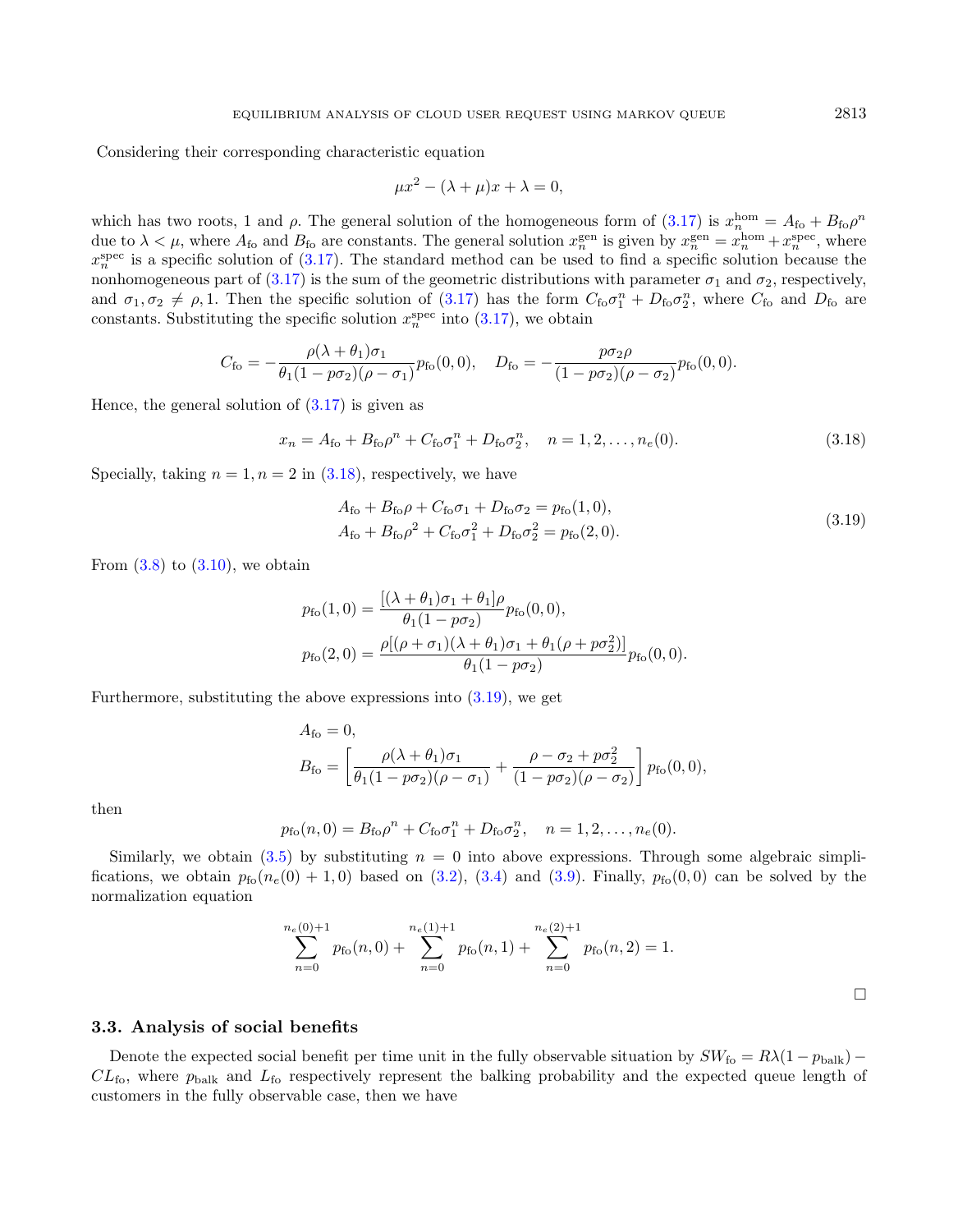Considering their corresponding characteristic equation

<span id="page-6-1"></span><span id="page-6-0"></span>
$$
\mu x^2 - (\lambda + \mu)x + \lambda = 0,
$$

which has two roots, 1 and  $\rho$ . The general solution of the homogeneous form of  $(3.17)$  is  $x_n^{\text{hom}} = A_{\text{fo}} + B_{\text{fo}} \rho^n$ due to  $\lambda < \mu$ , where  $A_{\text{fo}}$  and  $B_{\text{fo}}$  are constants. The general solution  $x_n^{\text{gen}}$  is given by  $x_n^{\text{gen}} = x_n^{\text{hom}} + x_n^{\text{spec}}$ , where  $x_n^{\text{spec}}$  is a specific solution of [\(3.17\)](#page-5-2). The standard method can be used to find a specific solution because the nonhomogeneous part of [\(3.17\)](#page-5-2) is the sum of the geometric distributions with parameter  $\sigma_1$  and  $\sigma_2$ , respectively, and  $\sigma_1, \sigma_2 \neq \rho, 1$ . Then the specific solution of [\(3.17\)](#page-5-2) has the form  $C_{\rm fo} \sigma_1^n + D_{\rm fo} \sigma_2^n$ , where  $C_{\rm fo}$  and  $D_{\rm fo}$  are constants. Substituting the specific solution  $x_n^{\text{spec}}$  into  $(3.17)$ , we obtain

$$
C_{\rm fo} = -\frac{\rho(\lambda + \theta_1)\sigma_1}{\theta_1(1 - p\sigma_2)(\rho - \sigma_1)} p_{\rm fo}(0,0), \quad D_{\rm fo} = -\frac{p\sigma_2\rho}{(1 - p\sigma_2)(\rho - \sigma_2)} p_{\rm fo}(0,0).
$$

Hence, the general solution of  $(3.17)$  is given as

$$
x_n = A_{\text{fo}} + B_{\text{fo}} \rho^n + C_{\text{fo}} \sigma_1^n + D_{\text{fo}} \sigma_2^n, \quad n = 1, 2, \dots, n_e(0). \tag{3.18}
$$

Specially, taking  $n = 1, n = 2$  in  $(3.18)$ , respectively, we have

$$
A_{\rm fo} + B_{\rm fo} \rho + C_{\rm fo} \sigma_1 + D_{\rm fo} \sigma_2 = p_{\rm fo} (1, 0),
$$
  
\n
$$
A_{\rm fo} + B_{\rm fo} \rho^2 + C_{\rm fo} \sigma_1^2 + D_{\rm fo} \sigma_2^2 = p_{\rm fo} (2, 0).
$$
\n(3.19)

From  $(3.8)$  to  $(3.10)$ , we obtain

$$
p_{\text{fo}}(1,0) = \frac{[(\lambda + \theta_1)\sigma_1 + \theta_1]\rho}{\theta_1(1 - p\sigma_2)} p_{\text{fo}}(0,0),
$$
  

$$
p_{\text{fo}}(2,0) = \frac{\rho[(\rho + \sigma_1)(\lambda + \theta_1)\sigma_1 + \theta_1(\rho + p\sigma_2^2)]}{\theta_1(1 - p\sigma_2)} p_{\text{fo}}(0,0).
$$

Furthermore, substituting the above expressions into [\(3.19\)](#page-6-1), we get

$$
A_{\rm fo} = 0,
$$
  
\n
$$
B_{\rm fo} = \left[ \frac{\rho(\lambda + \theta_1)\sigma_1}{\theta_1(1 - p\sigma_2)(\rho - \sigma_1)} + \frac{\rho - \sigma_2 + p\sigma_2^2}{(1 - p\sigma_2)(\rho - \sigma_2)} \right] p_{\rm fo}(0, 0),
$$

then

$$
p_{\text{fo}}(n,0) = B_{\text{fo}}\rho^n + C_{\text{fo}}\sigma_1^n + D_{\text{fo}}\sigma_2^n, \quad n = 1, 2, ..., n_e(0).
$$

Similarly, we obtain  $(3.5)$  by substituting  $n = 0$  into above expressions. Through some algebraic simplifications, we obtain  $p_{\text{fo}}(n_e(0) + 1, 0)$  based on [\(3.2\)](#page-3-3), [\(3.4\)](#page-3-3) and [\(3.9\)](#page-5-0). Finally,  $p_{\text{fo}}(0, 0)$  can be solved by the normalization equation

$$
\sum_{n=0}^{n_e(0)+1} p_{\text{fo}}(n,0) + \sum_{n=0}^{n_e(1)+1} p_{\text{fo}}(n,1) + \sum_{n=0}^{n_e(2)+1} p_{\text{fo}}(n,2) = 1.
$$

# 3.3. Analysis of social benefits

Denote the expected social benefit per time unit in the fully observable situation by  $SW_{\text{fo}} = R\lambda(1 - p_{\text{bulk}})$  –  $CL<sub>fo</sub>$ , where  $p<sub>bulk</sub>$  and  $L<sub>fo</sub>$  respectively represent the balking probability and the expected queue length of customers in the fully observable case, then we have

 $\Box$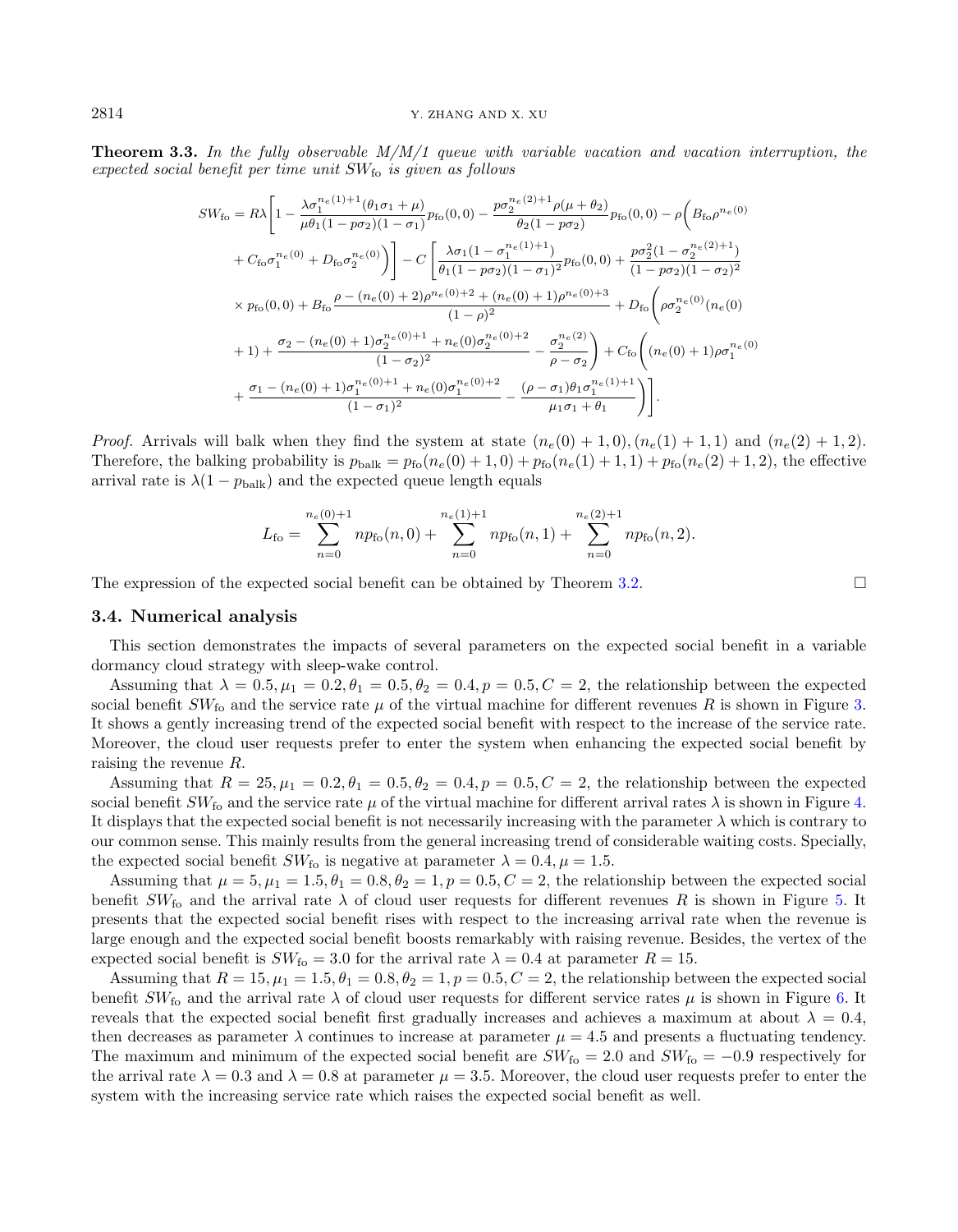**Theorem 3.3.** In the fully observable  $M/M/1$  queue with variable vacation and vacation interruption, the expected social benefit per time unit  $SW_{fo}$  is given as follows

$$
SW_{\text{fo}} = R\lambda \left[ 1 - \frac{\lambda \sigma_1^{n_e(1)+1}(\theta_1 \sigma_1 + \mu)}{\mu \theta_1 (1 - p \sigma_2)(1 - \sigma_1)} p_{\text{fo}}(0,0) - \frac{p \sigma_2^{n_e(2)+1} \rho(\mu + \theta_2)}{\theta_2 (1 - p \sigma_2)} p_{\text{fo}}(0,0) - \rho \left( B_{\text{fo}} \rho^{n_e(0)} \right) \right] + C_{\text{fo}} \sigma_1^{n_e(0)} + D_{\text{fo}} \sigma_2^{n_e(0)} \right) \left] - C \left[ \frac{\lambda \sigma_1 (1 - \sigma_1^{n_e(1)+1})}{\theta_1 (1 - p \sigma_2)(1 - \sigma_1)^2} p_{\text{fo}}(0,0) + \frac{p \sigma_2^2 (1 - \sigma_2^{n_e(2)+1})}{(1 - p \sigma_2)(1 - \sigma_2)^2} \right] \times p_{\text{fo}}(0,0) + B_{\text{fo}} \frac{\rho - (n_e(0) + 2) \rho^{n_e(0)+2} + (n_e(0) + 1) \rho^{n_e(0)+3}}{(1 - \rho)^2} + D_{\text{fo}} \left( \rho \sigma_2^{n_e(0)} (n_e(0) + 1) + \frac{\sigma_2 - (n_e(0) + 1) \sigma_2^{n_e(0)+1} + n_e(0) \sigma_2^{n_e(0)+2}}{(1 - \sigma_2)^2} - \frac{\sigma_2^{n_e(2)}}{\rho - \sigma_2} \right) + C_{\text{fo}} \left( (n_e(0) + 1) \rho \sigma_1^{n_e(0)} + \frac{\sigma_1 - (n_e(0) + 1) \sigma_1^{n_e(0)+1} + n_e(0) \sigma_1^{n_e(0)+2}}{(1 - \sigma_1)^2} - \frac{(\rho - \sigma_1) \theta_1 \sigma_1^{n_e(1)+1}}{\mu_1 \sigma_1 + \theta_1} \right) \right].
$$

*Proof.* Arrivals will balk when they find the system at state  $(n_e(0) + 1, 0), (n_e(1) + 1, 1)$  and  $(n_e(2) + 1, 2)$ . Therefore, the balking probability is  $p_{\text{bulk}} = p_{\text{fo}}(n_e(0) + 1, 0) + p_{\text{fo}}(n_e(1) + 1, 1) + p_{\text{fo}}(n_e(2) + 1, 2)$ , the effective arrival rate is  $\lambda(1-p_{\text{bulk}})$  and the expected queue length equals

$$
L_{\rm fo} = \sum_{n=0}^{n_e(0)+1} n p_{\rm fo}(n,0) + \sum_{n=0}^{n_e(1)+1} n p_{\rm fo}(n,1) + \sum_{n=0}^{n_e(2)+1} n p_{\rm fo}(n,2).
$$

The expression of the expected social benefit can be obtained by Theorem [3.2.](#page-4-1)

# 3.4. Numerical analysis

This section demonstrates the impacts of several parameters on the expected social benefit in a variable dormancy cloud strategy with sleep-wake control.

Assuming that  $\lambda = 0.5, \mu_1 = 0.2, \theta_1 = 0.5, \theta_2 = 0.4, p = 0.5, C = 2$ , the relationship between the expected social benefit  $SW_{f_0}$  and the service rate  $\mu$  of the virtual machine for different revenues R is shown in Figure [3.](#page-8-0) It shows a gently increasing trend of the expected social benefit with respect to the increase of the service rate. Moreover, the cloud user requests prefer to enter the system when enhancing the expected social benefit by raising the revenue R.

Assuming that  $R = 25, \mu_1 = 0.2, \theta_1 = 0.5, \theta_2 = 0.4, p = 0.5, C = 2$ , the relationship between the expected social benefit  $SW_{fo}$  and the service rate  $\mu$  of the virtual machine for different arrival rates  $\lambda$  is shown in Figure [4.](#page-8-1) It displays that the expected social benefit is not necessarily increasing with the parameter  $\lambda$  which is contrary to our common sense. This mainly results from the general increasing trend of considerable waiting costs. Specially, the expected social benefit  $SW_{\text{fo}}$  is negative at parameter  $\lambda = 0.4, \mu = 1.5$ .

Assuming that  $\mu = 5, \mu_1 = 1.5, \theta_1 = 0.8, \theta_2 = 1, p = 0.5, C = 2$ , the relationship between the expected social benefit  $SW_{f_0}$  and the arrival rate  $\lambda$  of cloud user requests for different revenues R is shown in Figure [5.](#page-8-2) It presents that the expected social benefit rises with respect to the increasing arrival rate when the revenue is large enough and the expected social benefit boosts remarkably with raising revenue. Besides, the vertex of the expected social benefit is  $SW_{f_0} = 3.0$  for the arrival rate  $\lambda = 0.4$  at parameter  $R = 15$ .

Assuming that  $R = 15$ ,  $\mu_1 = 1.5$ ,  $\theta_1 = 0.8$ ,  $\theta_2 = 1$ ,  $p = 0.5$ ,  $C = 2$ , the relationship between the expected social benefit  $SW_{f_0}$  and the arrival rate  $\lambda$  of cloud user requests for different service rates  $\mu$  is shown in Figure [6.](#page-8-3) It reveals that the expected social benefit first gradually increases and achieves a maximum at about  $\lambda = 0.4$ , then decreases as parameter  $\lambda$  continues to increase at parameter  $\mu = 4.5$  and presents a fluctuating tendency. The maximum and minimum of the expected social benefit are  $SW_{f\text{o}} = 2.0$  and  $SW_{f\text{o}} = -0.9$  respectively for the arrival rate  $\lambda = 0.3$  and  $\lambda = 0.8$  at parameter  $\mu = 3.5$ . Moreover, the cloud user requests prefer to enter the system with the increasing service rate which raises the expected social benefit as well.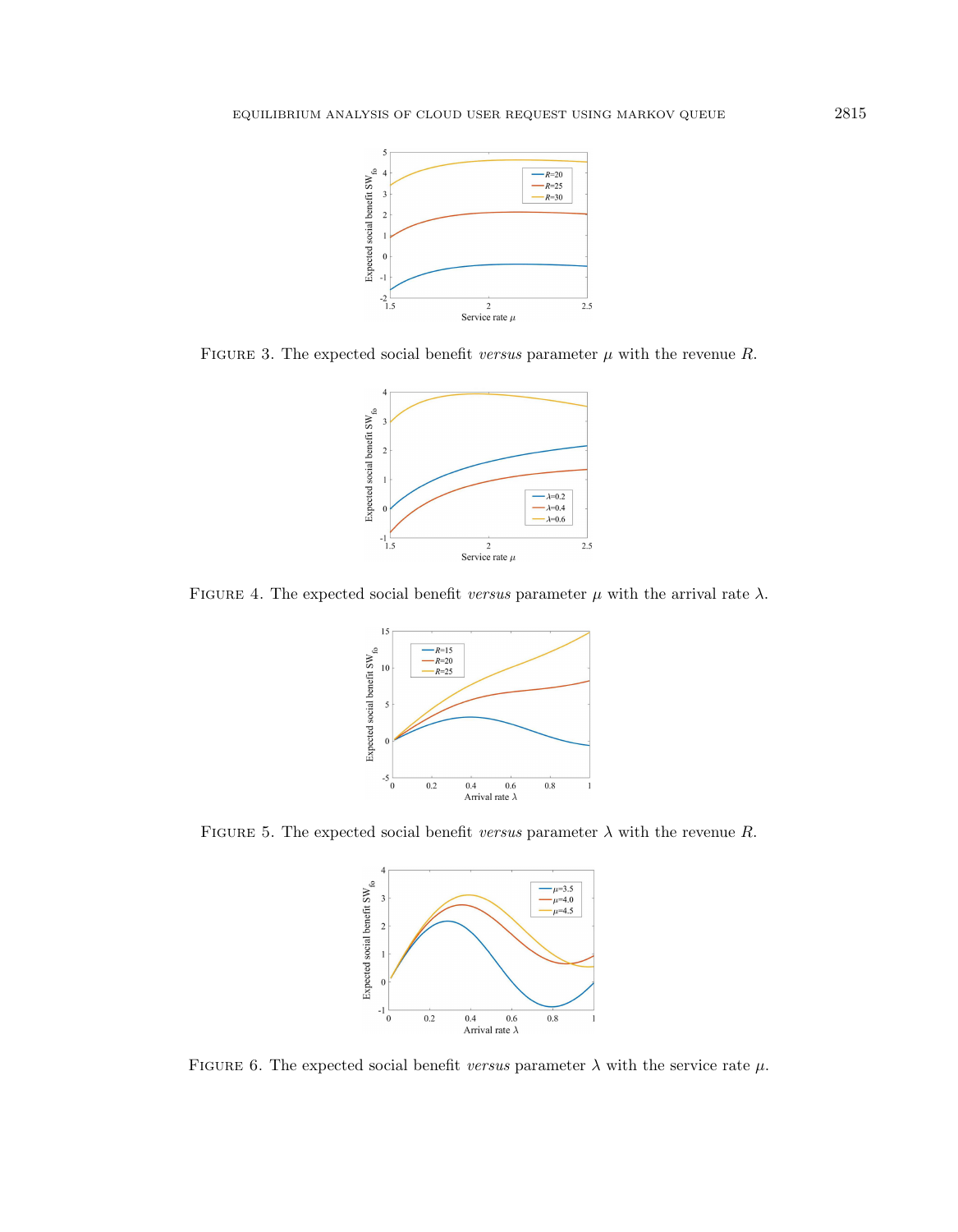<span id="page-8-0"></span>

<span id="page-8-1"></span>FIGURE 3. The expected social benefit versus parameter  $\mu$  with the revenue R.



FIGURE 4. The expected social benefit versus parameter  $\mu$  with the arrival rate  $\lambda$ .

<span id="page-8-2"></span>

<span id="page-8-3"></span>FIGURE 5. The expected social benefit versus parameter  $\lambda$  with the revenue R.



FIGURE 6. The expected social benefit versus parameter  $\lambda$  with the service rate  $\mu$ .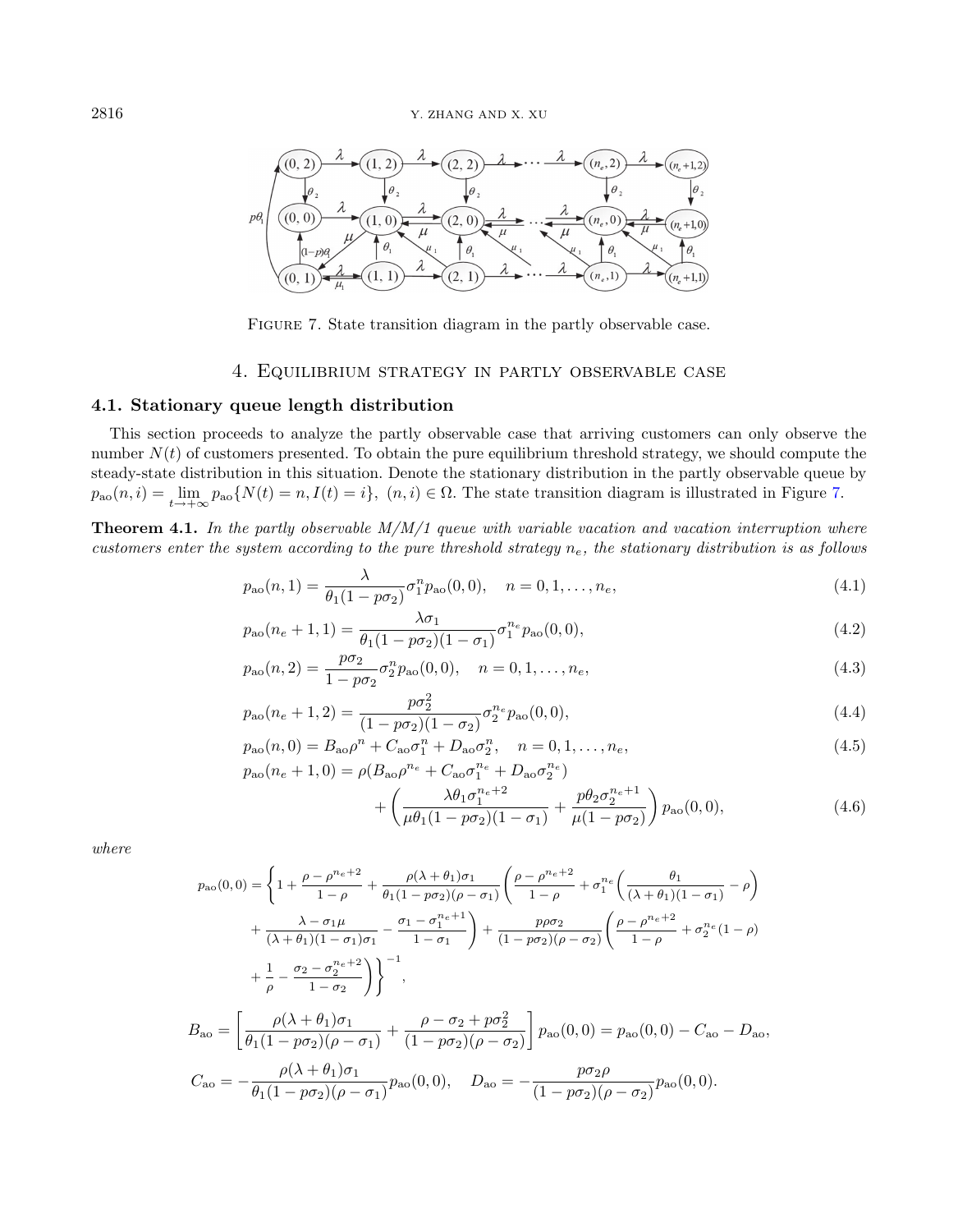<span id="page-9-1"></span>

FIGURE 7. State transition diagram in the partly observable case.

# 4. Equilibrium strategy in partly observable case

# <span id="page-9-0"></span>4.1. Stationary queue length distribution

This section proceeds to analyze the partly observable case that arriving customers can only observe the number  $N(t)$  of customers presented. To obtain the pure equilibrium threshold strategy, we should compute the steady-state distribution in this situation. Denote the stationary distribution in the partly observable queue by  $p_{\text{ao}}(n,i) = \lim_{t \to +\infty} p_{\text{ao}}\{N(t) = n, I(t) = i\}, (n,i) \in \Omega.$  The state transition diagram is illustrated in Figure [7.](#page-9-1)

<span id="page-9-4"></span>**Theorem 4.1.** In the partly observable  $M/M/1$  queue with variable vacation and vacation interruption where customers enter the system according to the pure threshold strategy  $n_e$ , the stationary distribution is as follows

$$
p_{\rm ao}(n,1) = \frac{\lambda}{\theta_1(1 - p\sigma_2)} \sigma_1^n p_{\rm ao}(0,0), \quad n = 0, 1, \dots, n_e,
$$
\n(4.1)

<span id="page-9-3"></span><span id="page-9-2"></span>
$$
p_{\rm ao}(n_e+1,1) = \frac{\lambda \sigma_1}{\theta_1 (1 - p \sigma_2)(1 - \sigma_1)} \sigma_1^{n_e} p_{\rm ao}(0,0),\tag{4.2}
$$

$$
p_{\rm ao}(n,2) = \frac{p\sigma_2}{1 - p\sigma_2} \sigma_2^n p_{\rm ao}(0,0), \quad n = 0, 1, \dots, n_e,
$$
\n(4.3)

$$
p_{\rm ao}(n_e+1,2) = \frac{p\sigma_2^2}{(1-p\sigma_2)(1-\sigma_2)}\sigma_2^{n_e}p_{\rm ao}(0,0),\tag{4.4}
$$

$$
p_{\rm ao}(n,0) = B_{\rm ao} \rho^n + C_{\rm ao} \sigma_1^n + D_{\rm ao} \sigma_2^n, \quad n = 0, 1, ..., n_e,
$$
  
\n
$$
p_{\rm ao}(n_e + 1,0) = \rho(B_{\rm ao} \rho^{n_e} + C_{\rm ao} \sigma_1^{n_e} + D_{\rm ao} \sigma_2^{n_e})
$$
\n(4.5)

$$
+\left(\frac{\lambda\theta_1\sigma_1^{n_e+2}}{\mu\theta_1(1-p\sigma_2)(1-\sigma_1)}+\frac{p\theta_2\sigma_2^{n_e+1}}{\mu(1-p\sigma_2)}\right)p_{\text{ao}}(0,0),\tag{4.6}
$$

where

<sup>p</sup>ao(0, 0) = ( 1 + ρ − ρ ne+2 1 − ρ + ρ(λ + θ1)σ<sup>1</sup> θ1(1 − pσ2)(ρ − σ1) ρ − ρ ne+2 1 − ρ + σ ne 1 θ1 (λ + θ1)(1 − σ1) − ρ + λ − σ1µ (λ + θ1)(1 − σ1)σ<sup>1</sup> − σ<sup>1</sup> − σ ne+1 1 1 − σ<sup>1</sup> ! + pρσ<sup>2</sup> (1 − pσ2)(ρ − σ2) ρ − ρ ne+2 1 − ρ + σ ne 2 (1 − ρ) + 1 ρ − σ<sup>2</sup> − σ ne+2 2 1 − σ<sup>2</sup> !)−<sup>1</sup> , Bao = ρ(λ + θ1)σ<sup>1</sup> θ1(1 − pσ2)(ρ − σ1) + ρ − σ<sup>2</sup> + pσ<sup>2</sup> 2 (1 − pσ2)(ρ − σ2) pao(0, 0) = pao(0, 0) − Cao − Dao, Cao = − ρ(λ + θ1)σ<sup>1</sup> θ1(1 − pσ2)(ρ − σ1) pao(0, 0), Dao = − pσ2ρ (1 − pσ2)(ρ − σ2) pao(0, 0).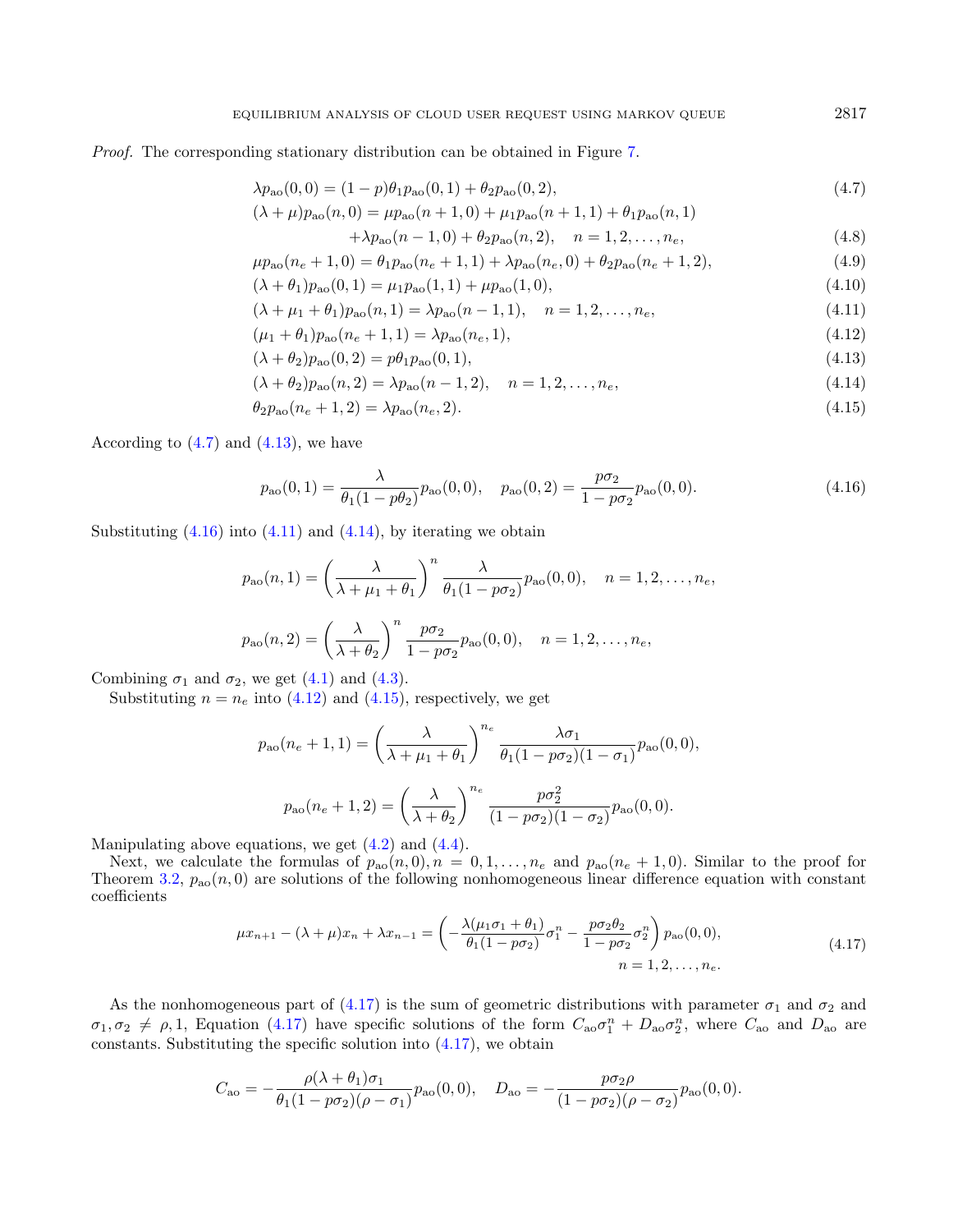Proof. The corresponding stationary distribution can be obtained in Figure [7.](#page-9-1)

$$
\lambda p_{\rm ao}(0,0) = (1-p)\theta_1 p_{\rm ao}(0,1) + \theta_2 p_{\rm ao}(0,2),\tag{4.7}
$$

$$
(\lambda + \mu)p_{\rm ao}(n,0) = \mu p_{\rm ao}(n+1,0) + \mu_1 p_{\rm ao}(n+1,1) + \theta_1 p_{\rm ao}(n,1)
$$

<span id="page-10-1"></span><span id="page-10-0"></span>
$$
+\lambda p_{\rm ao}(n-1,0) + \theta_2 p_{\rm ao}(n,2), \quad n = 1,2,\ldots,n_e,
$$
\n(4.8)

$$
\mu p_{\rm ao}(n_e + 1, 0) = \theta_1 p_{\rm ao}(n_e + 1, 1) + \lambda p_{\rm ao}(n_e, 0) + \theta_2 p_{\rm ao}(n_e + 1, 2),\tag{4.9}
$$

$$
(\lambda + \theta_1)p_{\text{ao}}(0, 1) = \mu_1 p_{\text{ao}}(1, 1) + \mu p_{\text{ao}}(1, 0), \tag{4.10}
$$

$$
(\lambda + \mu_1 + \theta_1)p_{\text{ao}}(n, 1) = \lambda p_{\text{ao}}(n - 1, 1), \quad n = 1, 2, \dots, n_e,
$$
\n(4.11)

$$
(\mu_1 + \theta_1)p_{\rm ao}(n_e + 1, 1) = \lambda p_{\rm ao}(n_e, 1),\tag{4.12}
$$

$$
(\lambda + \theta_2)p_{\rm ao}(0,2) = p\theta_1p_{\rm ao}(0,1),\tag{4.13}
$$

$$
(\lambda + \theta_2)p_{\text{ao}}(n, 2) = \lambda p_{\text{ao}}(n - 1, 2), \quad n = 1, 2, \dots, n_e,
$$
\n(4.14)

$$
\theta_2 p_{\rm ao}(n_e + 1, 2) = \lambda p_{\rm ao}(n_e, 2). \tag{4.15}
$$

According to  $(4.7)$  and  $(4.13)$ , we have

$$
p_{\rm ao}(0,1) = \frac{\lambda}{\theta_1(1 - p\theta_2)} p_{\rm ao}(0,0), \quad p_{\rm ao}(0,2) = \frac{p\sigma_2}{1 - p\sigma_2} p_{\rm ao}(0,0). \tag{4.16}
$$

Substituting  $(4.16)$  into  $(4.11)$  and  $(4.14)$ , by iterating we obtain

$$
p_{\rm ao}(n,1) = \left(\frac{\lambda}{\lambda + \mu_1 + \theta_1}\right)^n \frac{\lambda}{\theta_1(1 - p\sigma_2)} p_{\rm ao}(0,0), \quad n = 1, 2, \dots, n_e,
$$
  

$$
p_{\rm ao}(n,2) = \left(\frac{\lambda}{\lambda + \theta_2}\right)^n \frac{p\sigma_2}{1 - p\sigma_2} p_{\rm ao}(0,0), \quad n = 1, 2, \dots, n_e,
$$

Combining  $\sigma_1$  and  $\sigma_2$ , we get [\(4.1\)](#page-9-3) and [\(4.3\)](#page-9-3).

Substituting  $n = n_e$  into [\(4.12\)](#page-9-2) and [\(4.15\)](#page-9-2), respectively, we get

<span id="page-10-2"></span>
$$
p_{\rm ao}(n_e + 1, 1) = \left(\frac{\lambda}{\lambda + \mu_1 + \theta_1}\right)^{n_e} \frac{\lambda \sigma_1}{\theta_1 (1 - p \sigma_2)(1 - \sigma_1)} p_{\rm ao}(0, 0),
$$

$$
p_{\rm ao}(n_e + 1, 2) = \left(\frac{\lambda}{\lambda + \theta_2}\right)^{n_e} \frac{p \sigma_2^2}{(1 - p \sigma_2)(1 - \sigma_2)} p_{\rm ao}(0, 0).
$$

Manipulating above equations, we get [\(4.2\)](#page-9-3) and [\(4.4\)](#page-9-3).

Next, we calculate the formulas of  $p_{\rm ao}(n,0), n = 0, 1, \ldots, n_e$  and  $p_{\rm ao}(n_e + 1, 0)$ . Similar to the proof for Theorem [3.2,](#page-4-1)  $p_{\text{ao}}(n,0)$  are solutions of the following nonhomogeneous linear difference equation with constant coefficients

$$
\mu x_{n+1} - (\lambda + \mu)x_n + \lambda x_{n-1} = \left( -\frac{\lambda(\mu_1 \sigma_1 + \theta_1)}{\theta_1 (1 - p \sigma_2)} \sigma_1^n - \frac{p \sigma_2 \theta_2}{1 - p \sigma_2} \sigma_2^n \right) p_{\text{ao}}(0, 0),
$$
\n
$$
n = 1, 2, \dots, n_e.
$$
\n(4.17)

As the nonhomogeneous part of [\(4.17\)](#page-10-1) is the sum of geometric distributions with parameter  $\sigma_1$  and  $\sigma_2$  and  $\sigma_1, \sigma_2 \neq \rho, 1$ , Equation [\(4.17\)](#page-10-1) have specific solutions of the form  $C_{\alpha o} \sigma_1^n + D_{\alpha o} \sigma_2^n$ , where  $C_{\alpha o}$  and  $D_{\alpha o}$  are constants. Substituting the specific solution into  $(4.17)$ , we obtain

$$
C_{\rm ao} = -\frac{\rho(\lambda + \theta_1)\sigma_1}{\theta_1(1 - p\sigma_2)(\rho - \sigma_1)} p_{\rm ao}(0,0), \quad D_{\rm ao} = -\frac{p\sigma_2\rho}{(1 - p\sigma_2)(\rho - \sigma_2)} p_{\rm ao}(0,0).
$$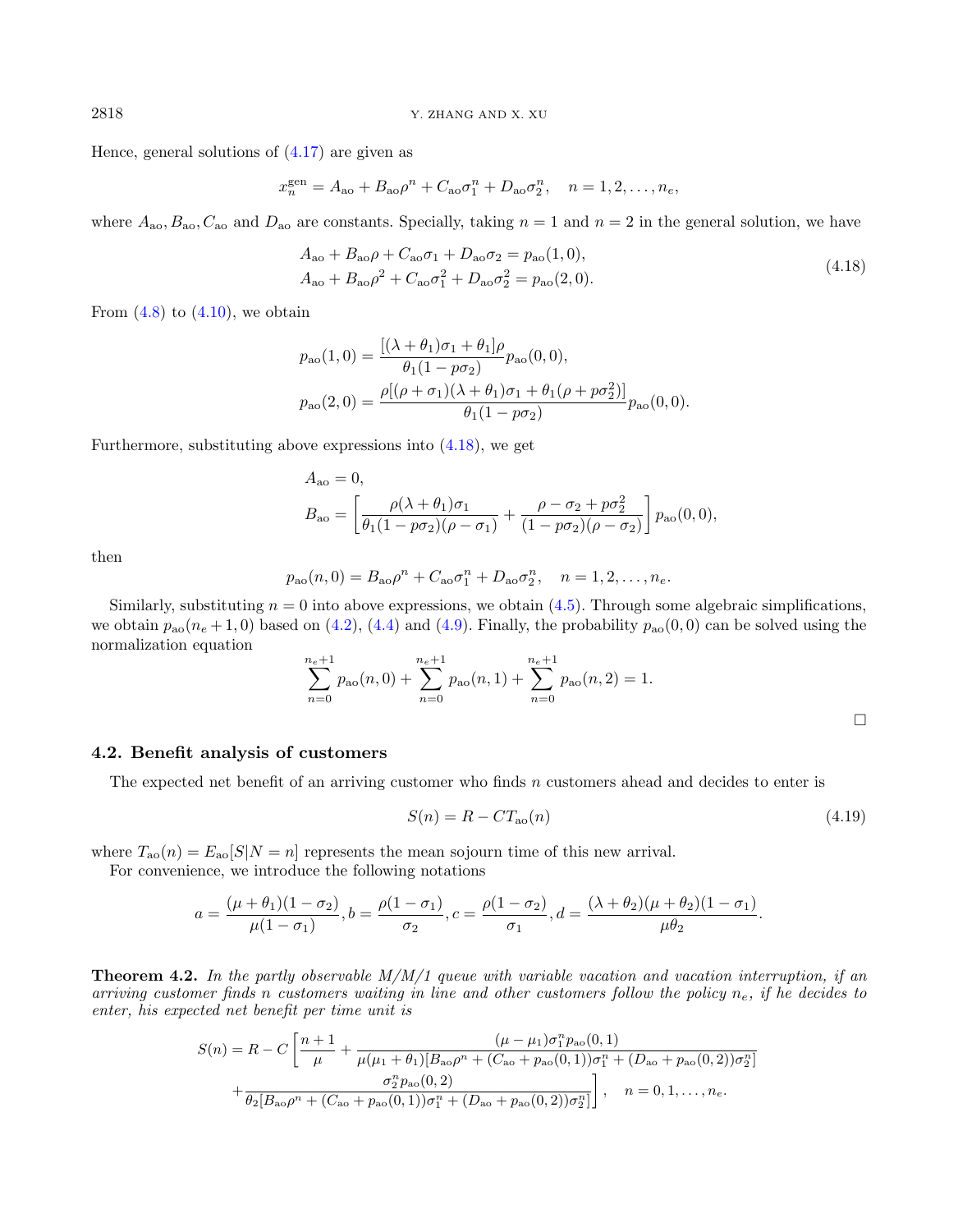Hence, general solutions of [\(4.17\)](#page-10-1) are given as

<span id="page-11-1"></span>
$$
x_n^{\text{gen}} = A_{\text{ao}} + B_{\text{ao}} \rho^n + C_{\text{ao}} \sigma_1^n + D_{\text{ao}} \sigma_2^n, \quad n = 1, 2, \dots, n_e,
$$

where  $A_{\alpha_0}, B_{\alpha_0}, C_{\alpha_0}$  and  $D_{\alpha_0}$  are constants. Specially, taking  $n = 1$  and  $n = 2$  in the general solution, we have

$$
A_{\rm ao} + B_{\rm ao} \rho + C_{\rm ao} \sigma_1 + D_{\rm ao} \sigma_2 = p_{\rm ao} (1, 0),
$$
  
\n
$$
A_{\rm ao} + B_{\rm ao} \rho^2 + C_{\rm ao} \sigma_1^2 + D_{\rm ao} \sigma_2^2 = p_{\rm ao} (2, 0).
$$
\n(4.18)

From  $(4.8)$  to  $(4.10)$ , we obtain

$$
p_{\rm ao}(1,0) = \frac{[(\lambda + \theta_1)\sigma_1 + \theta_1]\rho}{\theta_1(1 - p\sigma_2)} p_{\rm ao}(0,0),
$$
  

$$
p_{\rm ao}(2,0) = \frac{\rho[(\rho + \sigma_1)(\lambda + \theta_1)\sigma_1 + \theta_1(\rho + p\sigma_2^2)]}{\theta_1(1 - p\sigma_2)} p_{\rm ao}(0,0).
$$

Furthermore, substituting above expressions into [\(4.18\)](#page-10-2), we get

$$
A_{\rm ao} = 0,
$$
  
\n
$$
B_{\rm ao} = \left[ \frac{\rho(\lambda + \theta_1)\sigma_1}{\theta_1(1 - p\sigma_2)(\rho - \sigma_1)} + \frac{\rho - \sigma_2 + p\sigma_2^2}{(1 - p\sigma_2)(\rho - \sigma_2)} \right] p_{\rm ao}(0, 0),
$$

then

$$
p_{\rm ao}(n,0) = B_{\rm ao} \rho^n + C_{\rm ao} \sigma_1^n + D_{\rm ao} \sigma_2^n, \quad n = 1, 2, ..., n_e.
$$

Similarly, substituting  $n = 0$  into above expressions, we obtain [\(4.5\)](#page-9-3). Through some algebraic simplifications, we obtain  $p_{\rm ao}(n_e+1,0)$  based on [\(4.2\)](#page-9-3), [\(4.4\)](#page-9-3) and [\(4.9\)](#page-9-2). Finally, the probability  $p_{\rm ao}(0,0)$  can be solved using the normalization equation

<span id="page-11-0"></span>
$$
\sum_{n=0}^{n_e+1} p_{\text{ao}}(n,0) + \sum_{n=0}^{n_e+1} p_{\text{ao}}(n,1) + \sum_{n=0}^{n_e+1} p_{\text{ao}}(n,2) = 1.
$$

# <span id="page-11-2"></span>4.2. Benefit analysis of customers

The expected net benefit of an arriving customer who finds n customers ahead and decides to enter is

$$
S(n) = R - CTao(n)
$$
\n(4.19)

where  $T_{\text{ao}}(n) = E_{\text{ao}}[S|N=n]$  represents the mean sojourn time of this new arrival.

For convenience, we introduce the following notations

$$
a = \frac{(\mu + \theta_1)(1 - \sigma_2)}{\mu(1 - \sigma_1)}, b = \frac{\rho(1 - \sigma_1)}{\sigma_2}, c = \frac{\rho(1 - \sigma_2)}{\sigma_1}, d = \frac{(\lambda + \theta_2)(\mu + \theta_2)(1 - \sigma_1)}{\mu\theta_2}.
$$

**Theorem 4.2.** In the partly observable  $M/M/1$  queue with variable vacation and vacation interruption, if an arriving customer finds n customers waiting in line and other customers follow the policy  $n_e$ , if he decides to enter, his expected net benefit per time unit is

$$
S(n) = R - C \left[ \frac{n+1}{\mu} + \frac{(\mu - \mu_1) \sigma_1^n p_{\rm ao}(0,1)}{\mu(\mu_1 + \theta_1) [B_{\rm ao}\rho^n + (C_{\rm ao} + p_{\rm ao}(0,1))\sigma_1^n + (D_{\rm ao} + p_{\rm ao}(0,2))\sigma_2^n} + \frac{\sigma_2^n p_{\rm ao}(0,2)}{\theta_2 [B_{\rm ao}\rho^n + (C_{\rm ao} + p_{\rm ao}(0,1))\sigma_1^n + (D_{\rm ao} + p_{\rm ao}(0,2))\sigma_2^n} \right], \quad n = 0, 1, ..., n_e.
$$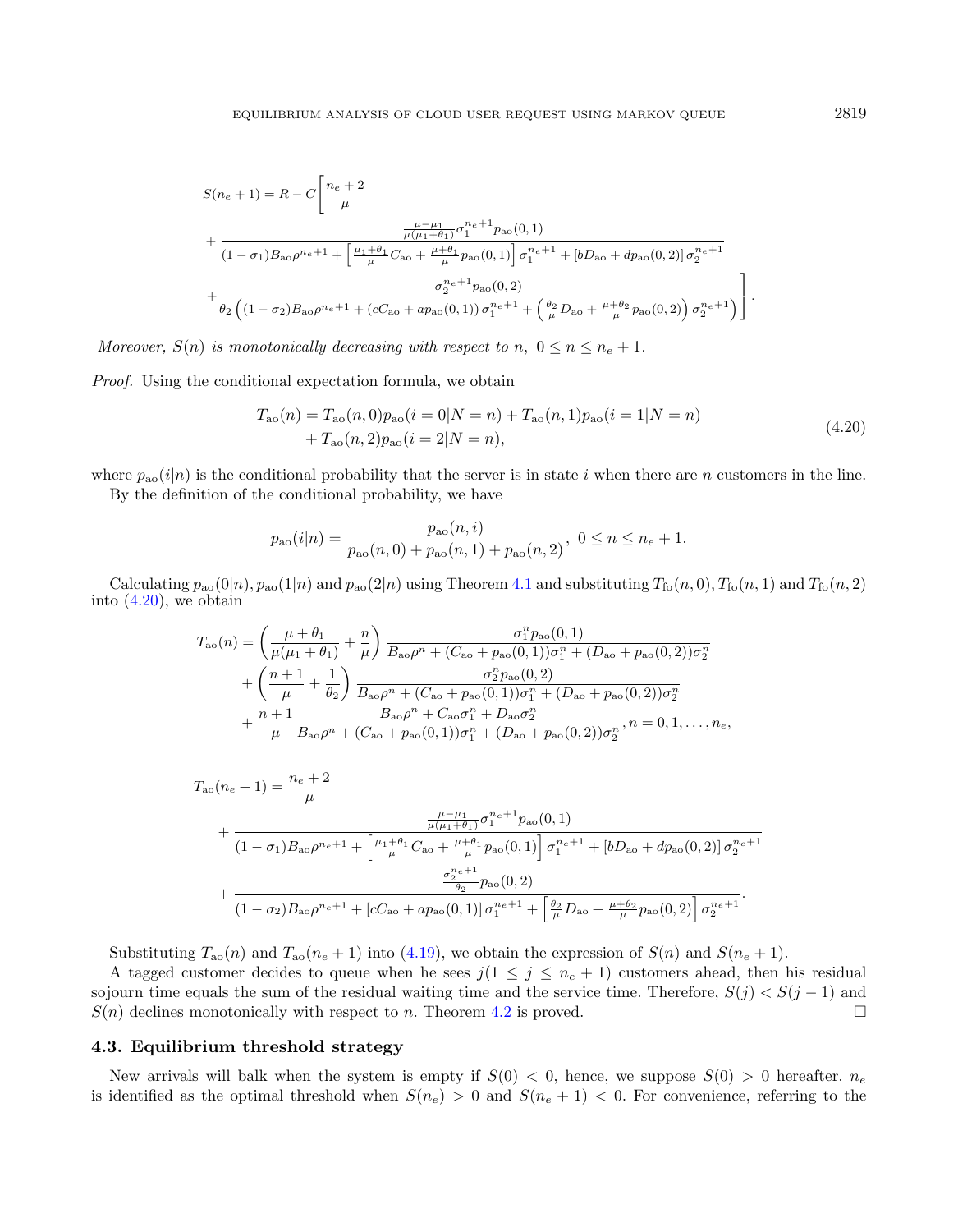$$
S(n_{e}+1) = R - C \left[ \frac{n_{e}+2}{\mu} + \frac{\frac{\mu-\mu_{1}}{\mu(n_{1}+\theta_{1})} \sigma_{1}^{n_{e}+1} p_{\text{ao}}(0,1)}{(1-\sigma_{1})B_{\text{ao}}\rho^{n_{e}+1} + \left[\frac{\mu_{1}+\theta_{1}}{\mu}C_{\text{ao}} + \frac{\mu+\theta_{1}}{\mu}p_{\text{ao}}(0,1)\right] \sigma_{1}^{n_{e}+1} + \left[bD_{\text{ao}} + dp_{\text{ao}}(0,2)\right] \sigma_{2}^{n_{e}+1}} + \frac{\sigma_{2}^{n_{e}+1} p_{\text{ao}}(0,2)}{\theta_{2} \left((1-\sigma_{2})B_{\text{ao}}\rho^{n_{e}+1} + (cC_{\text{ao}} + ap_{\text{ao}}(0,1)) \sigma_{1}^{n_{e}+1} + \left(\frac{\theta_{2}}{\mu}D_{\text{ao}} + \frac{\mu+\theta_{2}}{\mu}p_{\text{ao}}(0,2)\right) \sigma_{2}^{n_{e}+1}\right)} \right].
$$

Moreover,  $S(n)$  is monotonically decreasing with respect to n,  $0 \le n \le n_e + 1$ .

Proof. Using the conditional expectation formula, we obtain

<span id="page-12-0"></span>
$$
T_{\text{ao}}(n) = T_{\text{ao}}(n,0)p_{\text{ao}}(i=0|N=n) + T_{\text{ao}}(n,1)p_{\text{ao}}(i=1|N=n) + T_{\text{ao}}(n,2)p_{\text{ao}}(i=2|N=n),
$$
\n(4.20)

where  $p_{\text{ao}}(i|n)$  is the conditional probability that the server is in state i when there are n customers in the line. By the definition of the conditional probability, we have

$$
p_{\rm ao}(i|n) = \frac{p_{\rm ao}(n,i)}{p_{\rm ao}(n,0) + p_{\rm ao}(n,1) + p_{\rm ao}(n,2)}, \ 0 \le n \le n_e + 1.
$$

Calculating  $p_{\rm ao}(0|n)$ ,  $p_{\rm ao}(1|n)$  and  $p_{\rm ao}(2|n)$  using Theorem [4.1](#page-9-4) and substituting  $T_{\rm fo}(n,0)$ ,  $T_{\rm fo}(n,1)$  and  $T_{\rm fo}(n,2)$ into  $(4.20)$ , we obtain

$$
T_{\rm ao}(n) = \left(\frac{\mu + \theta_1}{\mu(\mu_1 + \theta_1)} + \frac{n}{\mu}\right) \frac{\sigma_1^n p_{\rm ao}(0,1)}{B_{\rm ao}\rho^n + (C_{\rm ao} + p_{\rm ao}(0,1))\sigma_1^n + (D_{\rm ao} + p_{\rm ao}(0,2))\sigma_2^n} + \left(\frac{n+1}{\mu} + \frac{1}{\theta_2}\right) \frac{\sigma_2^n p_{\rm ao}(0,2)}{B_{\rm ao}\rho^n + (C_{\rm ao} + p_{\rm ao}(0,1))\sigma_1^n + (D_{\rm ao} + p_{\rm ao}(0,2))\sigma_2^n} + \frac{n+1}{\mu} \frac{B_{\rm ao}\rho^n + C_{\rm ao}\sigma_1^n + D_{\rm ao}\sigma_2^n}{B_{\rm ao}\rho^n + (C_{\rm ao} + p_{\rm ao}(0,1))\sigma_1^n + (D_{\rm ao} + p_{\rm ao}(0,2))\sigma_2^n}, n = 0, 1, ..., n_e,
$$

$$
T_{\text{ao}}(n_e + 1) = \frac{n_e + 2}{\mu}
$$
  
+ 
$$
\frac{\frac{\mu - \mu_1}{\mu(\mu_1 + \theta_1)} \sigma_1^{n_e + 1} p_{\text{ao}}(0, 1)}{(1 - \sigma_1) B_{\text{ao}} \rho^{n_e + 1} + \left[\frac{\mu_1 + \theta_1}{\mu} C_{\text{ao}} + \frac{\mu + \theta_1}{\mu} p_{\text{ao}}(0, 1)\right] \sigma_1^{n_e + 1} + [bD_{\text{ao}} + dp_{\text{ao}}(0, 2)] \sigma_2^{n_e + 1}}
$$
  
+ 
$$
\frac{\frac{\sigma_2^{n_e + 1}}{\theta_2} p_{\text{ao}}(0, 2)}{(1 - \sigma_2) B_{\text{ao}} \rho^{n_e + 1} + [cC_{\text{ao}} + ap_{\text{ao}}(0, 1)] \sigma_1^{n_e + 1} + \left[\frac{\theta_2}{\mu} D_{\text{ao}} + \frac{\mu + \theta_2}{\mu} p_{\text{ao}}(0, 2)\right] \sigma_2^{n_e + 1}}.
$$

Substituting  $T_{\text{ao}}(n)$  and  $T_{\text{ao}}(n_e+1)$  into [\(4.19\)](#page-11-1), we obtain the expression of  $S(n)$  and  $S(n_e+1)$ .

A tagged customer decides to queue when he sees  $j(1 \leq j \leq n_e + 1)$  customers ahead, then his residual sojourn time equals the sum of the residual waiting time and the service time. Therefore,  $S(j) < S(j-1)$  and  $S(n)$  declines monotonically with respect to n. Theorem [4.2](#page-11-2) is proved.

# 4.3. Equilibrium threshold strategy

New arrivals will balk when the system is empty if  $S(0) < 0$ , hence, we suppose  $S(0) > 0$  hereafter.  $n_e$ is identified as the optimal threshold when  $S(n_e) > 0$  and  $S(n_e + 1) < 0$ . For convenience, referring to the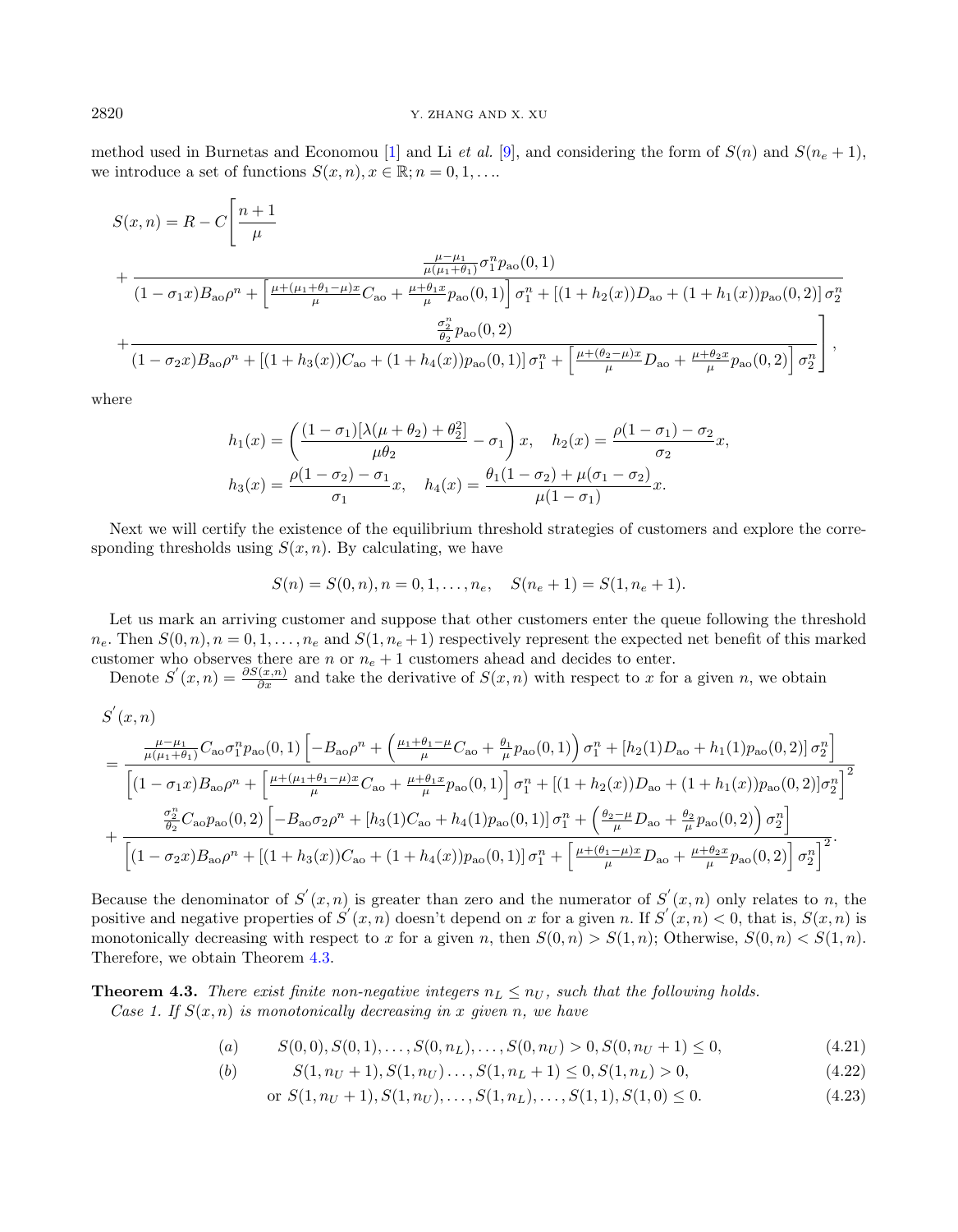method used in Burnetas and Economou [\[1\]](#page-17-4) and Li et al. [\[9\]](#page-17-15), and considering the form of  $S(n)$  and  $S(n_e + 1)$ , we introduce a set of functions  $S(x, n), x \in \mathbb{R}; n = 0, 1, \ldots$ .

$$
S(x, n) = R - C \left[ \frac{n+1}{\mu} + \frac{\frac{\mu - \mu_1}{\mu(\mu_1 + \theta_1)} \sigma_1^n p_{a0}(0, 1)}{(1 - \sigma_1 x) B_{a0} \rho^n + \left[ \frac{\mu + (\mu_1 + \theta_1 - \mu)x}{\mu} C_{a0} + \frac{\mu + \theta_1 x}{\mu} p_{a0}(0, 1) \right] \sigma_1^n + \left[ (1 + h_2(x)) D_{a0} + (1 + h_1(x)) p_{a0}(0, 2) \right] \sigma_2^n + \frac{\frac{\sigma_2^n}{\theta_2} p_{a0}(0, 2)}{(1 - \sigma_2 x) B_{a0} \rho^n + \left[ (1 + h_3(x)) C_{a0} + (1 + h_4(x)) p_{a0}(0, 1) \right] \sigma_1^n + \left[ \frac{\mu + (\theta_2 - \mu)x}{\mu} D_{a0} + \frac{\mu + \theta_2 x}{\mu} p_{a0}(0, 2) \right] \sigma_2^n \right]},
$$

where

$$
h_1(x) = \left(\frac{(1 - \sigma_1)[\lambda(\mu + \theta_2) + \theta_2^2]}{\mu\theta_2} - \sigma_1\right)x, \quad h_2(x) = \frac{\rho(1 - \sigma_1) - \sigma_2}{\sigma_2}x,
$$
  

$$
h_3(x) = \frac{\rho(1 - \sigma_2) - \sigma_1}{\sigma_1}x, \quad h_4(x) = \frac{\theta_1(1 - \sigma_2) + \mu(\sigma_1 - \sigma_2)}{\mu(1 - \sigma_1)}x.
$$

Next we will certify the existence of the equilibrium threshold strategies of customers and explore the corresponding thresholds using  $S(x, n)$ . By calculating, we have

$$
S(n) = S(0, n), n = 0, 1, \dots, n_e, \quad S(n_e + 1) = S(1, n_e + 1).
$$

Let us mark an arriving customer and suppose that other customers enter the queue following the threshold  $n_e$ . Then  $S(0, n)$ ,  $n = 0, 1, \ldots, n_e$  and  $S(1, n_e + 1)$  respectively represent the expected net benefit of this marked customer who observes there are n or  $n_e + 1$  customers ahead and decides to enter.

Denote  $S'(x,n) = \frac{\partial S(x,n)}{\partial x}$  and take the derivative of  $S(x,n)$  with respect to x for a given n, we obtain

$$
S'(x, n)
$$
\n
$$
= \frac{\frac{\mu - \mu_1}{\mu(\mu_1 + \theta_1)} C_{\text{ao}} \sigma_1^n p_{\text{ao}}(0, 1) \left[ -B_{\text{ao}} \rho^n + \left( \frac{\mu_1 + \theta_1 - \mu}{\mu} C_{\text{ao}} + \frac{\theta_1}{\mu} p_{\text{ao}}(0, 1) \right) \sigma_1^n + [h_2(1) D_{\text{ao}} + h_1(1) p_{\text{ao}}(0, 2) \sigma_2^n \right]}{\left[ (1 - \sigma_1 x) B_{\text{ao}} \rho^n + \left[ \frac{\mu + (\mu_1 + \theta_1 - \mu)x}{\mu} C_{\text{ao}} + \frac{\mu + \theta_1 x}{\mu} p_{\text{ao}}(0, 1) \right] \sigma_1^n + [(1 + h_2(x)) D_{\text{ao}} + (1 + h_1(x)) p_{\text{ao}}(0, 2) \sigma_2^n \right]^2} + \frac{\frac{\sigma_2^n}{\theta_2} C_{\text{ao}} p_{\text{ao}}(0, 2) \left[ -B_{\text{ao}} \sigma_2 \rho^n + [h_3(1) C_{\text{ao}} + h_4(1) p_{\text{ao}}(0, 1) \right] \sigma_1^n + \left( \frac{\theta_2 - \mu}{\mu} D_{\text{ao}} + \frac{\theta_2}{\mu} p_{\text{ao}}(0, 2) \right) \sigma_2^n \right]}{\left[ (1 - \sigma_2 x) B_{\text{ao}} \rho^n + [(1 + h_3(x)) C_{\text{ao}} + (1 + h_4(x)) p_{\text{ao}}(0, 1)] \sigma_1^n + \left[ \frac{\mu + (\theta_1 - \mu)x}{\mu} D_{\text{ao}} + \frac{\mu + \theta_2 x}{\mu} p_{\text{ao}}(0, 2) \right] \sigma_2^n \right]^2}.
$$

Because the denominator of  $S'(x, n)$  is greater than zero and the numerator of  $S'(x, n)$  only relates to n, the positive and negative properties of  $S'(x, n)$  doesn't depend on x for a given n. If  $S'(x, n) < 0$ , that is,  $S(x, n)$  is monotonically decreasing with respect to x for a given n, then  $S(0, n) > S(1, n)$ ; Otherwise,  $S(0, n) < S(1, n)$ . Therefore, we obtain Theorem [4.3.](#page-13-0)

<span id="page-13-0"></span>**Theorem 4.3.** There exist finite non-negative integers  $n_L \leq n_U$ , such that the following holds. Case 1. If  $S(x, n)$  is monotonically decreasing in x given n, we have

$$
(a) \qquad S(0,0), S(0,1), \ldots, S(0,n_L), \ldots, S(0,n_U) > 0, S(0,n_U+1) \le 0,\tag{4.21}
$$

(b) 
$$
S(1, n_U + 1), S(1, n_U), \ldots, S(1, n_L + 1) \leq 0, S(1, n_L) > 0,
$$
 (4.22)

$$
\text{or } S(1, n_U + 1), S(1, n_U), \dots, S(1, n_L), \dots, S(1, 1), S(1, 0) \le 0. \tag{4.23}
$$

**"**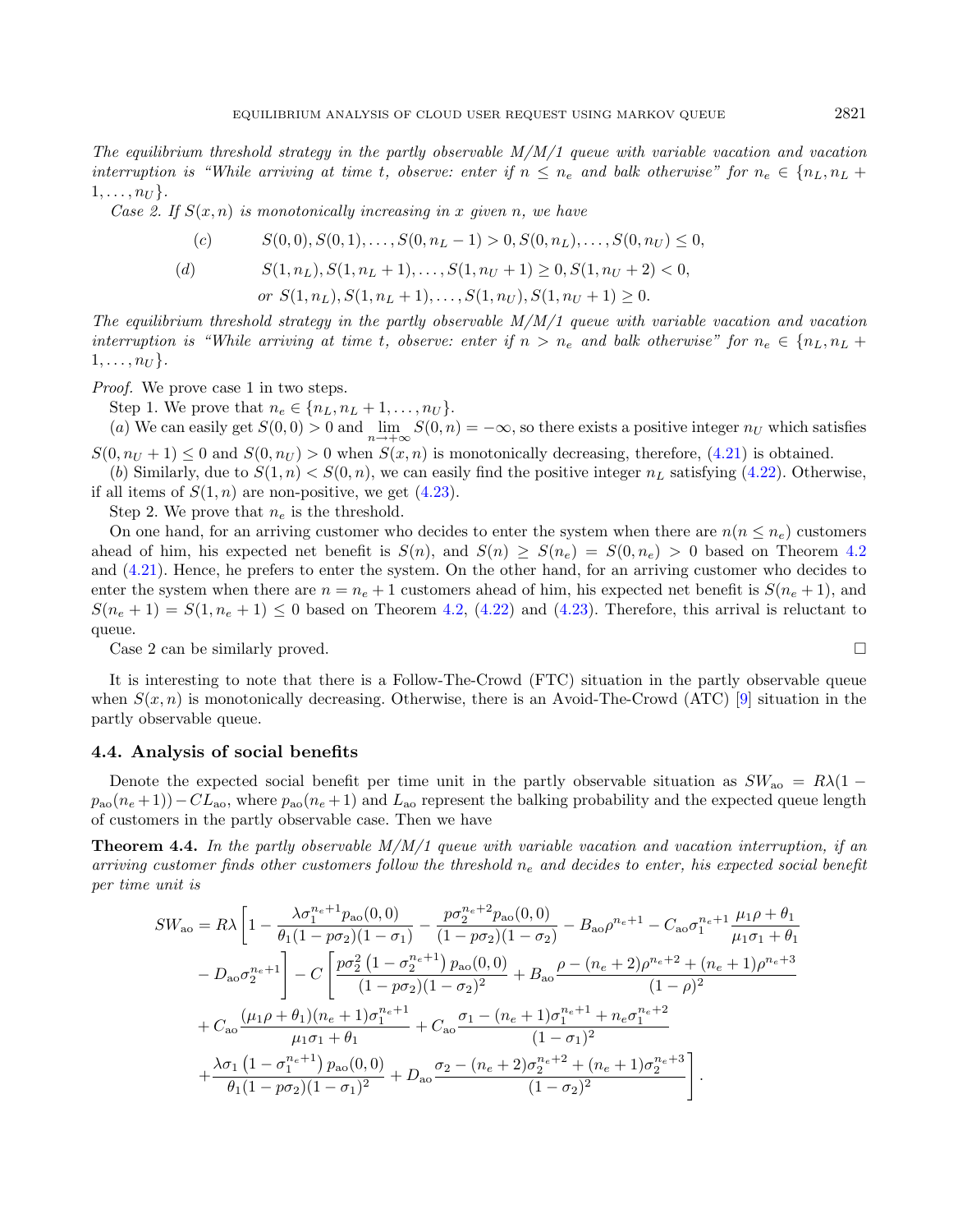The equilibrium threshold strategy in the partly observable  $M/M/1$  queue with variable vacation and vacation interruption is "While arriving at time t, observe: enter if  $n \leq n_e$  and balk otherwise" for  $n_e \in \{n_L, n_L +$  $1, \ldots, n_U$ .

Case 2. If  $S(x, n)$  is monotonically increasing in x given n, we have

$$
(c) \qquad S(0,0), S(0,1), \ldots, S(0, n_L - 1) > 0, S(0, n_L), \ldots, S(0, n_U) \le 0,
$$

(d) 
$$
S(1, n_L), S(1, n_L + 1), \dots, S(1, n_U + 1) \ge 0, S(1, n_U + 2) < 0,
$$
\n
$$
or S(1, n_L), S(1, n_L + 1), \dots, S(1, n_U), S(1, n_U + 1) \ge 0.
$$

The equilibrium threshold strategy in the partly observable  $M/M/1$  queue with variable vacation and vacation interruption is "While arriving at time t, observe: enter if  $n > n_e$  and balk otherwise" for  $n_e \in \{n_L, n_L +$  $1, \ldots, n_U$ .

Proof. We prove case 1 in two steps.

Step 1. We prove that  $n_e \in \{n_L, n_L + 1, \ldots, n_U\}.$ 

(a) We can easily get  $S(0,0) > 0$  and  $\lim_{n \to +\infty} S(0,n) = -\infty$ , so there exists a positive integer  $n_U$  which satisfies  $S(0, n_U + 1) \leq 0$  and  $S(0, n_U) > 0$  when  $S(x, n)$  is monotonically decreasing, therefore, [\(4.21\)](#page-12-0) is obtained.

(b) Similarly, due to  $S(1, n) < S(0, n)$ , we can easily find the positive integer  $n<sub>L</sub>$  satisfying [\(4.22\)](#page-12-0). Otherwise, if all items of  $S(1, n)$  are non-positive, we get  $(4.23)$ .

Step 2. We prove that  $n_e$  is the threshold.

On one hand, for an arriving customer who decides to enter the system when there are  $n(n \leq n_e)$  customers ahead of him, his expected net benefit is  $S(n)$ , and  $S(n) \geq S(n_e) = S(0, n_e) > 0$  based on Theorem [4.2](#page-11-2) and [\(4.21\)](#page-12-0). Hence, he prefers to enter the system. On the other hand, for an arriving customer who decides to enter the system when there are  $n = n_e + 1$  customers ahead of him, his expected net benefit is  $S(n_e + 1)$ , and  $S(n_e + 1) = S(1, n_e + 1) \leq 0$  based on Theorem [4.2,](#page-11-2) [\(4.22\)](#page-12-0) and [\(4.23\)](#page-12-0). Therefore, this arrival is reluctant to queue.

Case 2 can be similarly proved.

It is interesting to note that there is a Follow-The-Crowd (FTC) situation in the partly observable queue when  $S(x, n)$  is monotonically decreasing. Otherwise, there is an Avoid-The-Crowd (ATC) [\[9\]](#page-17-15) situation in the partly observable queue.

# 4.4. Analysis of social benefits

Denote the expected social benefit per time unit in the partly observable situation as  $SW_{\text{ao}} = R\lambda(1$  $p_{\rm ao}(n_e+1)-CL_{\rm ao}$ , where  $p_{\rm ao}(n_e+1)$  and  $L_{\rm ao}$  represent the balking probability and the expected queue length of customers in the partly observable case. Then we have

**Theorem 4.4.** In the partly observable  $M/M/1$  queue with variable vacation and vacation interruption, if an arriving customer finds other customers follow the threshold  $n_e$  and decides to enter, his expected social benefit per time unit is

$$
SW_{\text{ao}} = R\lambda \left[ 1 - \frac{\lambda \sigma_1^{n_e+1} p_{\text{ao}}(0,0)}{\theta_1 (1 - p \sigma_2)(1 - \sigma_1)} - \frac{p \sigma_2^{n_e+2} p_{\text{ao}}(0,0)}{(1 - p \sigma_2)(1 - \sigma_2)} - B_{\text{ao}} \rho^{n_e+1} - C_{\text{ao}} \sigma_1^{n_e+1} \frac{\mu_1 \rho + \theta_1}{\mu_1 \sigma_1 + \theta_1} - D_{\text{ao}} \sigma_2^{n_e+1} \right] - C \left[ \frac{p \sigma_2^2 (1 - \sigma_2^{n_e+1}) p_{\text{ao}}(0,0)}{(1 - p \sigma_2)(1 - \sigma_2)^2} + B_{\text{ao}} \frac{\rho - (n_e+2)\rho^{n_e+2} + (n_e+1)\rho^{n_e+3}}{(1 - \rho)^2} + C_{\text{ao}} \frac{(\mu_1 \rho + \theta_1)(n_e+1)\sigma_1^{n_e+1}}{\mu_1 \sigma_1 + \theta_1} + C_{\text{ao}} \frac{\sigma_1 - (n_e+1)\sigma_1^{n_e+1} + n_e \sigma_1^{n_e+2}}{(1 - \sigma_1)^2} + \frac{\lambda \sigma_1 (1 - \sigma_1^{n_e+1}) p_{\text{ao}}(0,0)}{\theta_1 (1 - p \sigma_2)(1 - \sigma_1)^2} + D_{\text{ao}} \frac{\sigma_2 - (n_e+2)\sigma_2^{n_e+2} + (n_e+1)\sigma_2^{n_e+3}}{(1 - \sigma_2)^2} \right].
$$

$$
\Box
$$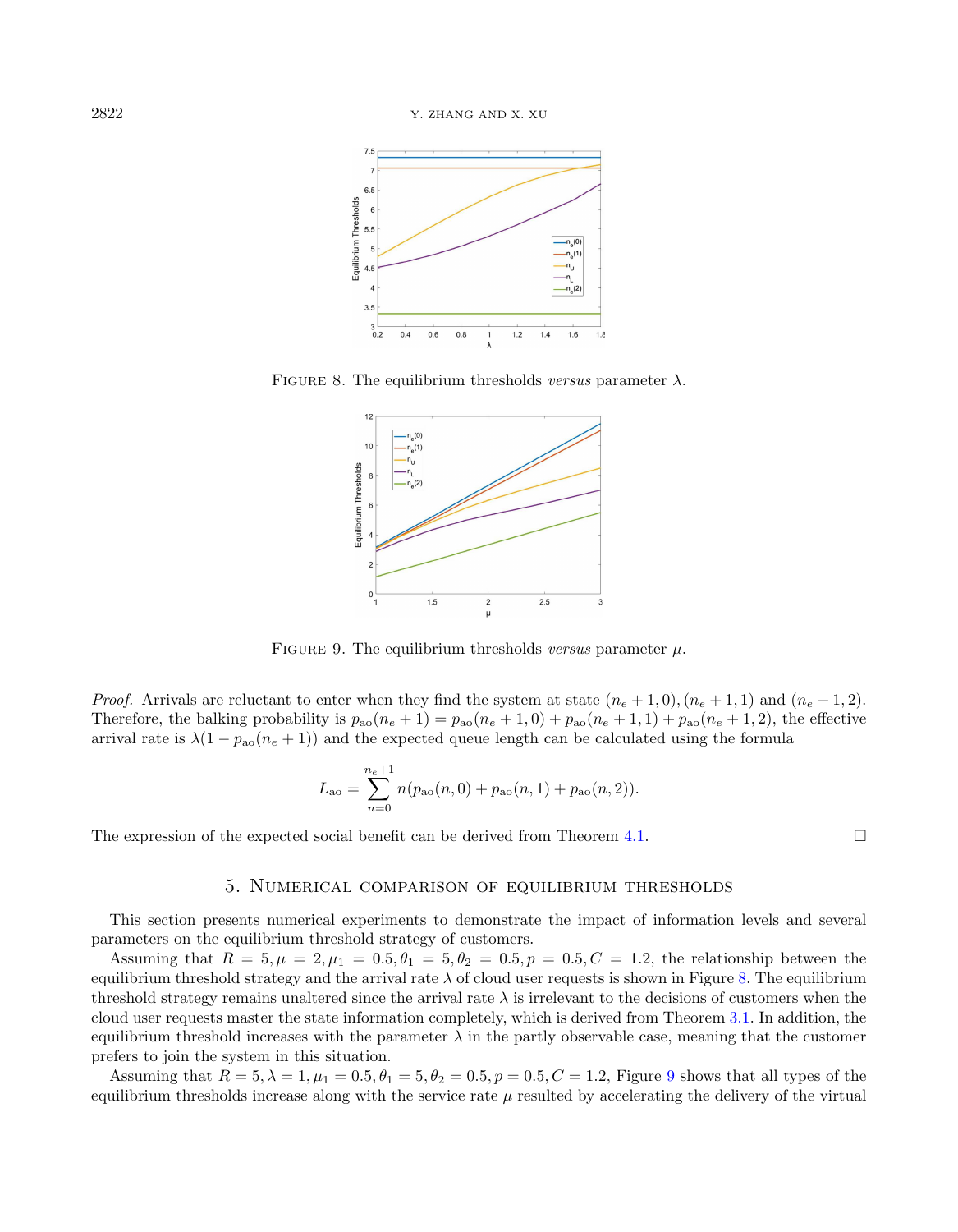<span id="page-15-1"></span>

FIGURE 8. The equilibrium thresholds versus parameter  $\lambda$ .

<span id="page-15-2"></span>

FIGURE 9. The equilibrium thresholds versus parameter  $\mu$ .

*Proof.* Arrivals are reluctant to enter when they find the system at state  $(n_e + 1, 0), (n_e + 1, 1)$  and  $(n_e + 1, 2)$ . Therefore, the balking probability is  $p_{\text{ao}}(n_e + 1) = p_{\text{ao}}(n_e + 1, 0) + p_{\text{ao}}(n_e + 1, 1) + p_{\text{ao}}(n_e + 1, 2)$ , the effective arrival rate is  $\lambda(1 - p_{\rm ao}(n_e + 1))$  and the expected queue length can be calculated using the formula

$$
L_{\rm ao} = \sum_{n=0}^{n_e+1} n(p_{\rm ao}(n,0) + p_{\rm ao}(n,1) + p_{\rm ao}(n,2)).
$$

The expression of the expected social benefit can be derived from Theorem [4.1.](#page-9-4)  $\Box$ 

# 5. Numerical comparison of equilibrium thresholds

<span id="page-15-0"></span>This section presents numerical experiments to demonstrate the impact of information levels and several parameters on the equilibrium threshold strategy of customers.

Assuming that  $R = 5, \mu = 2, \mu_1 = 0.5, \theta_1 = 5, \theta_2 = 0.5, p = 0.5, C = 1.2$ , the relationship between the equilibrium threshold strategy and the arrival rate  $\lambda$  of cloud user requests is shown in Figure [8.](#page-15-1) The equilibrium threshold strategy remains unaltered since the arrival rate  $\lambda$  is irrelevant to the decisions of customers when the cloud user requests master the state information completely, which is derived from Theorem [3.1.](#page-3-2) In addition, the equilibrium threshold increases with the parameter  $\lambda$  in the partly observable case, meaning that the customer prefers to join the system in this situation.

Assuming that  $R = 5, \lambda = 1, \mu_1 = 0.5, \theta_1 = 5, \theta_2 = 0.5, p = 0.5, C = 1.2$ , Figure [9](#page-15-2) shows that all types of the equilibrium thresholds increase along with the service rate  $\mu$  resulted by accelerating the delivery of the virtual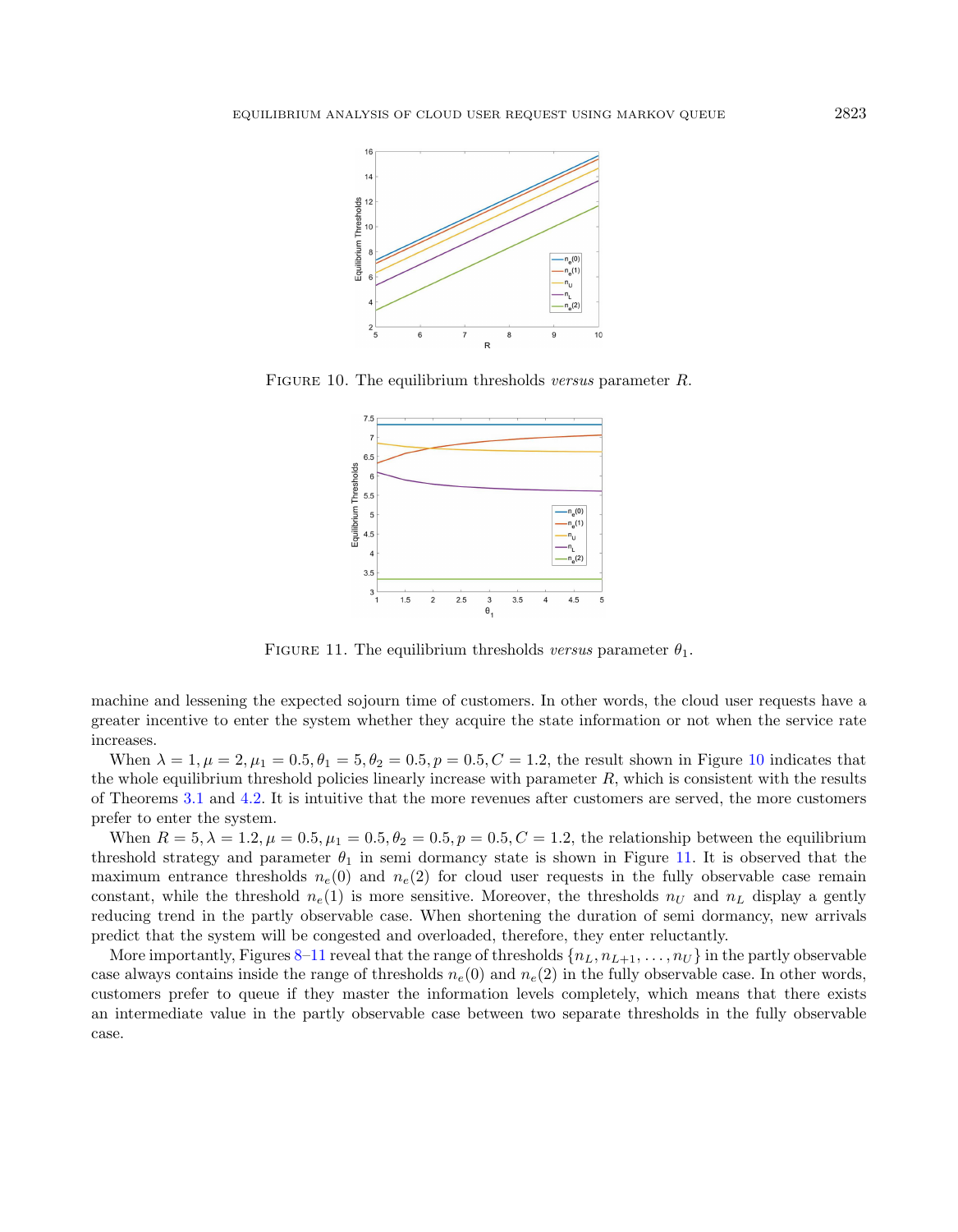<span id="page-16-0"></span>

FIGURE 10. The equilibrium thresholds versus parameter R.

<span id="page-16-1"></span>

FIGURE 11. The equilibrium thresholds versus parameter  $\theta_1$ .

machine and lessening the expected sojourn time of customers. In other words, the cloud user requests have a greater incentive to enter the system whether they acquire the state information or not when the service rate increases.

When  $\lambda = 1, \mu = 2, \mu_1 = 0.5, \theta_1 = 5, \theta_2 = 0.5, p = 0.5, C = 1.2$ , the result shown in Figure [10](#page-16-0) indicates that the whole equilibrium threshold policies linearly increase with parameter  $R$ , which is consistent with the results of Theorems [3.1](#page-3-2) and [4.2.](#page-11-2) It is intuitive that the more revenues after customers are served, the more customers prefer to enter the system.

When  $R = 5, \lambda = 1.2, \mu = 0.5, \mu_1 = 0.5, \theta_2 = 0.5, p = 0.5, C = 1.2$ , the relationship between the equilibrium threshold strategy and parameter  $\theta_1$  in semi dormancy state is shown in Figure [11.](#page-16-1) It is observed that the maximum entrance thresholds  $n_e(0)$  and  $n_e(2)$  for cloud user requests in the fully observable case remain constant, while the threshold  $n_e(1)$  is more sensitive. Moreover, the thresholds  $n_U$  and  $n_L$  display a gently reducing trend in the partly observable case. When shortening the duration of semi dormancy, new arrivals predict that the system will be congested and overloaded, therefore, they enter reluctantly.

More importantly, Figures [8–](#page-15-1)[11](#page-16-1) reveal that the range of thresholds  $\{n_L, n_{L+1}, \ldots, n_U\}$  in the partly observable case always contains inside the range of thresholds  $n_e(0)$  and  $n_e(2)$  in the fully observable case. In other words, customers prefer to queue if they master the information levels completely, which means that there exists an intermediate value in the partly observable case between two separate thresholds in the fully observable case.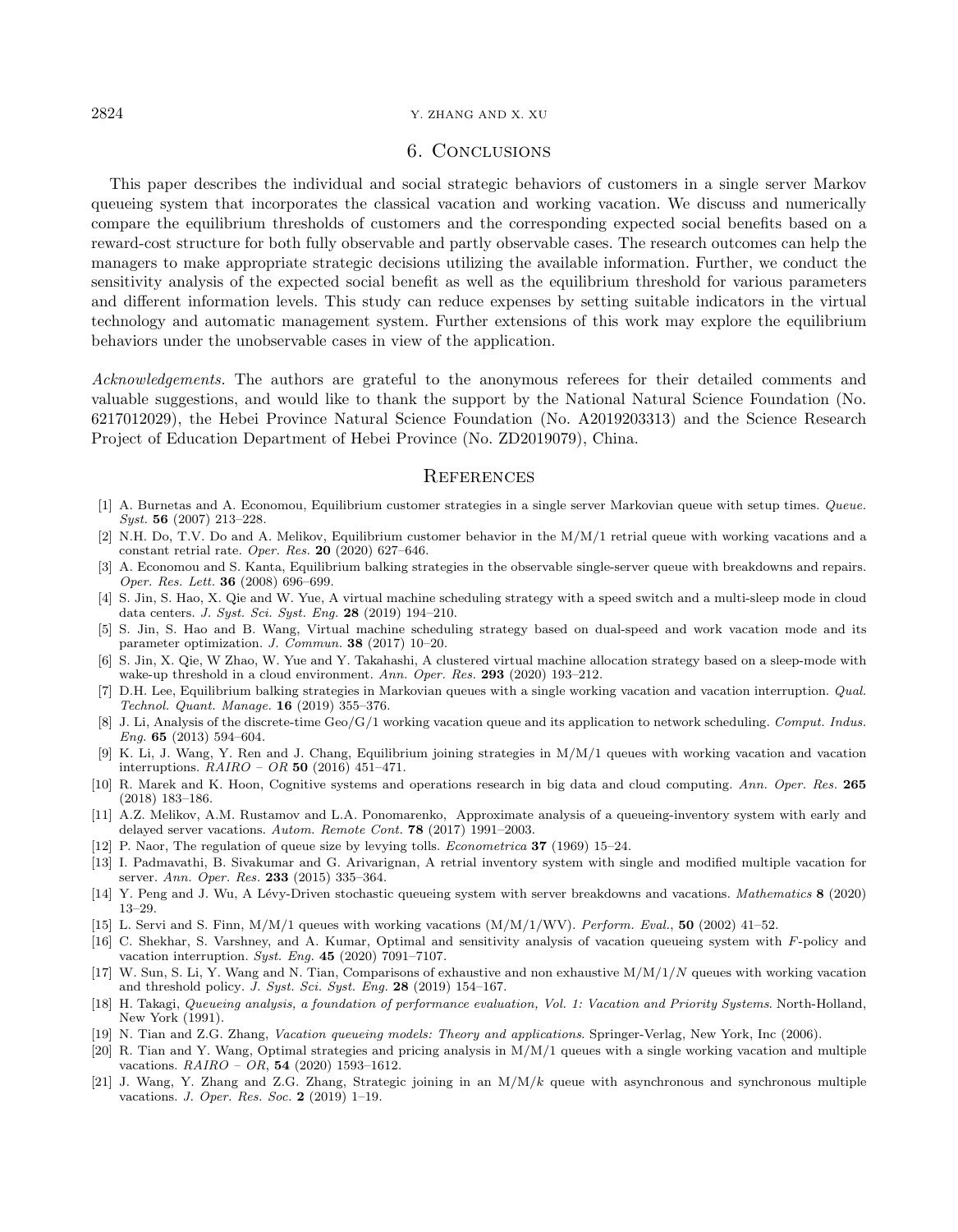### <span id="page-17-21"></span>2824 Y. ZHANG AND X. XU

# 6. Conclusions

<span id="page-17-4"></span>This paper describes the individual and social strategic behaviors of customers in a single server Markov queueing system that incorporates the classical vacation and working vacation. We discuss and numerically compare the equilibrium thresholds of customers and the corresponding expected social benefits based on a reward-cost structure for both fully observable and partly observable cases. The research outcomes can help the managers to make appropriate strategic decisions utilizing the available information. Further, we conduct the sensitivity analysis of the expected social benefit as well as the equilibrium threshold for various parameters and different information levels. This study can reduce expenses by setting suitable indicators in the virtual technology and automatic management system. Further extensions of this work may explore the equilibrium behaviors under the unobservable cases in view of the application.

<span id="page-17-20"></span><span id="page-17-19"></span><span id="page-17-17"></span><span id="page-17-12"></span><span id="page-17-1"></span>Acknowledgements. The authors are grateful to the anonymous referees for their detailed comments and valuable suggestions, and would like to thank the support by the National Natural Science Foundation (No. 6217012029), the Hebei Province Natural Science Foundation (No. A2019203313) and the Science Research Project of Education Department of Hebei Province (No. ZD2019079), China.

# **REFERENCES**

- <span id="page-17-14"></span><span id="page-17-10"></span>[1] A. Burnetas and A. Economou, Equilibrium customer strategies in a single server Markovian queue with setup times. Queue. Syst. 56 (2007) 213–228.
- <span id="page-17-15"></span>[2] N.H. Do, T.V. Do and A. Melikov, Equilibrium customer behavior in the M/M/1 retrial queue with working vacations and a constant retrial rate. Oper. Res. 20 (2020) 627–646.
- <span id="page-17-18"></span>[3] A. Economou and S. Kanta, Equilibrium balking strategies in the observable single-server queue with breakdowns and repairs. Oper. Res. Lett. 36 (2008) 696–699.
- <span id="page-17-8"></span>[4] S. Jin, S. Hao, X. Qie and W. Yue, A virtual machine scheduling strategy with a speed switch and a multi-sleep mode in cloud data centers. J. Syst. Sci. Syst. Eng. 28 (2019) 194–210.
- <span id="page-17-7"></span><span id="page-17-0"></span>[5] S. Jin, S. Hao and B. Wang, Virtual machine scheduling strategy based on dual-speed and work vacation mode and its parameter optimization. J. Commun. 38 (2017) 10–20.
- <span id="page-17-6"></span>[6] S. Jin, X. Qie, W Zhao, W. Yue and Y. Takahashi, A clustered virtual machine allocation strategy based on a sleep-mode with wake-up threshold in a cloud environment. Ann. Oper. Res. 293 (2020) 193–212.
- <span id="page-17-9"></span>[7] D.H. Lee, Equilibrium balking strategies in Markovian queues with a single working vacation and vacation interruption. Qual. Technol. Quant. Manage. 16 (2019) 355–376.
- <span id="page-17-16"></span>[8] J. Li, Analysis of the discrete-time Geo/G/1 working vacation queue and its application to network scheduling. Comput. Indus. Eng. 65 (2013) 594–604.
- <span id="page-17-11"></span>[9] K. Li, J. Wang, Y. Ren and J. Chang, Equilibrium joining strategies in M/M/1 queues with working vacation and vacation interruptions.  $RAIRO - OR$  50 (2016) 451-471.
- <span id="page-17-2"></span>[10] R. Marek and K. Hoon, Cognitive systems and operations research in big data and cloud computing. Ann. Oper. Res. 265 (2018) 183–186.
- <span id="page-17-13"></span><span id="page-17-3"></span>[11] A.Z. Melikov, A.M. Rustamov and L.A. Ponomarenko, Approximate analysis of a queueing-inventory system with early and delayed server vacations. Autom. Remote Cont. 78 (2017) 1991–2003.
- <span id="page-17-5"></span>[12] P. Naor, The regulation of queue size by levying tolls. Econometrica 37 (1969) 15–24.
- [13] I. Padmavathi, B. Sivakumar and G. Arivarignan, A retrial inventory system with single and modified multiple vacation for server. Ann. Oper. Res. 233 (2015) 335-364.
- [14] Y. Peng and J. Wu, A Lévy-Driven stochastic queueing system with server breakdowns and vacations. Mathematics 8 (2020) 13–29.
- [15] L. Servi and S. Finn, M/M/1 queues with working vacations  $(M/M/1/WW)$ . Perform. Eval., 50 (2002) 41–52.
- [16] C. Shekhar, S. Varshney, and A. Kumar, Optimal and sensitivity analysis of vacation queueing system with F-policy and vacation interruption. Syst. Eng. 45 (2020) 7091–7107.
- [17] W. Sun, S. Li, Y. Wang and N. Tian, Comparisons of exhaustive and non exhaustive  $M/M/1/N$  queues with working vacation and threshold policy. J. Syst. Sci. Syst. Eng. 28 (2019) 154–167.
- [18] H. Takagi, Queueing analysis, a foundation of performance evaluation, Vol. 1: Vacation and Priority Systems. North-Holland, New York (1991).
- [19] N. Tian and Z.G. Zhang, Vacation queueing models: Theory and applications. Springer-Verlag, New York, Inc (2006).
- [20] R. Tian and Y. Wang, Optimal strategies and pricing analysis in M/M/1 queues with a single working vacation and multiple vacations.  $RAIRO - OR$ , 54 (2020) 1593-1612.
- [21] J. Wang, Y. Zhang and Z.G. Zhang, Strategic joining in an  $M/M/k$  queue with asynchronous and synchronous multiple vacations. J. Oper. Res. Soc. 2 (2019) 1–19.